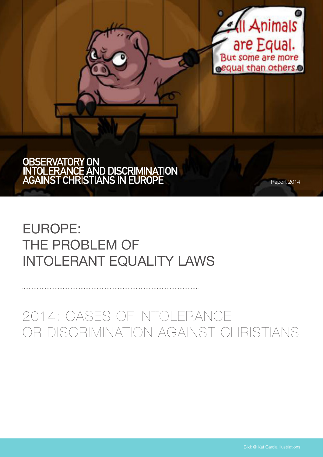

# OBSERVATORY ON<br>INTOLERANCE AND DISCRIMINATION<br>AGAINST CHRISTIANS IN EUROPE

Report 2014

# Europe: THE PROBLEM OF Intolerant Equality Laws

# 2014: Cases of Intolerance or Discrimination against Christians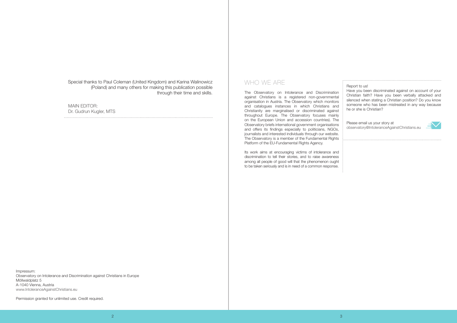Special thanks to Paul Coleman (United Kingdom) and Karina Walinowicz (Poland) and many others for making this publication possible through their time and skills.

Who we are

The Observatory on Intolerance and Discrimination against Christians is a registered non-governmental organisation in Austria. The Observatory which monitors and catalogues instances in which Christians and Christianity are marginalised or discriminated against throughout Europe. The Observatory focuses mainly on the European Union and accession countries). The Observatory briefs international government organisations and offers its findings especially to politicians, NGOs, journalists and interested individuals through our website. The Observatory is a member of the Fundamental Rights Platform of the EU-Fundamental Rights Agency.

Its work aims at encouraging victims of intolerance and discrimination to tell their stories, and to raise awareness among all people of good will that the phenomenon ought to be taken seriously and is in need of a common response.

Report to us! Have you been discriminated against on account of your Christian faith? Have you been verbally attacked and silenced when stating a Christian position? Do you know someone who has been mistreated in any way because he or she is Christian?

Please email us your story at observatory@IntoleranceAgainstChristians.eu



Impressum: Observatory on Intolerance and Discrimination against Christians in Europe Möllwaldplatz 5 A-1040 Vienna, Austria www.IntoleranceAgainstChristians.eu

Permission granted for unlimited use. Credit required.

MAIN EDITOR: Dr. Gudrun Kugler, MTS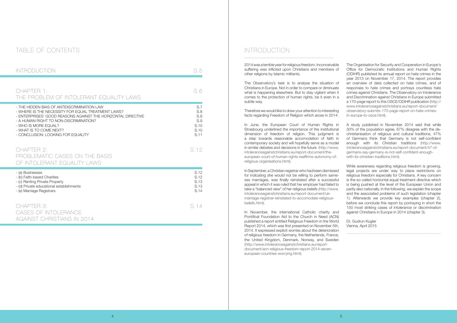## TABLE OF CONTENTS

| <b>INTRODUCTION</b>                                                                                                                                                                                                                                                                                  | S.5                                              |
|------------------------------------------------------------------------------------------------------------------------------------------------------------------------------------------------------------------------------------------------------------------------------------------------------|--------------------------------------------------|
| CHAPTER 1:<br>THE PROBLEM OF INTOLERANT EQUALITY LAWS                                                                                                                                                                                                                                                | S.6                                              |
| - THE HIDDEN BIAS OF ANTIDISCRIMINATION LAW<br>- WHERE IS THE NECESSITY FOR EQUAL TREATMENT LAWS?<br>- ENTERPRISES' GOOD REASONS AGAINST THE HORIZONTAL DIRECTIVE<br>- A HUMAN RIGHT TO NON-DISCRIMINATION?<br>- WHO IS MORE EQUAL?<br>- WHAT IS TO COME NEXT?<br>- CONCLUSION: LOOKING FOR EQUALITY | S.7<br>S.8<br>S.8<br>S.9<br>S.10<br>S.10<br>S.11 |
| CHAPTER 2:<br>PROBLEMATIC CASES ON THE BASIS<br>OF INTOLERANT EQUALITY LAWS                                                                                                                                                                                                                          | S.12                                             |
| - (a) Businesses<br>- (b) Faith-based Charities<br>- (c) Renting Private Property<br>- (d) Private educational establishments<br>- (e) Marriage Registrars                                                                                                                                           | S.12<br>S.12<br>S.13<br>S.13<br>S.14             |
| CHAPTER 3:<br>CASES OF INTOLERANCE<br>AGAINST CHRISTIANS IN 2014                                                                                                                                                                                                                                     | S.14                                             |

## Introduction

2014 was a terrible year for religious freedom. Inconceivable suffering was inflicted upon Christians and members of other religions by Islamic militants.

In June, the European Court of Human Rights in Strasbourg underlined the importance of the institutional dimension of freedom of religion. This judgment is a step towards reasonable accomodation of faith in contemporary society and will hopefully serve as a model in similar debates and decisions in the future (http://www. intoleranceagainstchristians.eu/report-document/theeuropean-court-of-human-rights-reaffirms-autonomy-ofreligious-organisations.html).

The Observatory's task is to analyse the situation of Christians in Europe. Not in order to compare or diminuate what is happening elsewhere. But to stay vigilant when it comes to the protection of human rights, be it even in a subtle way.

Therefore we would like to draw your attention to interesting facts regarding Freedom of Religion which arose in 2014:

In September, a Christian registrar who had been dismissed for indicating she would not be willing to perform samesex marriages, was finally reinstated after a successful appeal in which it was ruled that her employer had failed to take a "balanced view" of her religious beliefs (http://www. intoleranceagainstchristians.eu/report-document/ukmarriage-registrar-reinstated-to-accomodate-religiousbeliefs.html).

While awareness regarding religious freedom is growing. legal projects are under way to place restrictions on religious freedom especially for Christians. A key concern is the so-called horizontal equal treatment directive which is being pushed at the level of the European Union and partly also nationally. In the following, we explain the scope and the associated problems of such legislation (chapter 1). Afterwards we provide key examples (chapter 2), before we conclude this report by portraying in short the 150 most striking cases of intolerance or discrimination against Christians in Europe in 2014 (chapter 3).

In November, the international Catholic charity and Pontifical Foundation Aid to the Church in Need (ACN) published a report entitled Religious Freedom in the World Report 2014, which was first presented on November 5th, 2014. It expressed explicit worries about the deterioration of religious freedom in Germany, the Netherlands, France, the United Kingdom, Denmark, Norway, and Sweden (http://www.intoleranceagainstchristians.eu/reportdocument/acn-religious-freedom-report-2014-seveneuropean-countries-worrying.html).

The Organisation for Security and Cooperation in Europe's Office for Democratic Institutions and Human Rights (ODIHR) published its annual report on hate crimes in the year 2013 on November 17, 2014. The report provides an overview of data collected on hate crimes, and of responses to hate crimes and portrays countless hate crimes against Christians. The Observatory on Intolerance and Discrimination against Christians in Europe submitted a 170-page report to this OSCE/ODIHR publication (http:// www.intoleranceagainstchristians.eu/report-document/ observatory-submits-170-page-report-on-hate-crimesin-europe-to-osce.html).

A study published in November 2014 said that while 30% of the population agree, 67% disagree with the dechristianisation of religious and cultural traditions, 47% of Germans think that Germany is not self-confident enough with its Christian traditions (http://www. intoleranceagainstchristians.eu/report-document/47-ofgermans-say-germany-is-not-self-confident-enoughwith-its-christian-traditions.html).

Dr. Gudrun Kugler Vienna, April 2015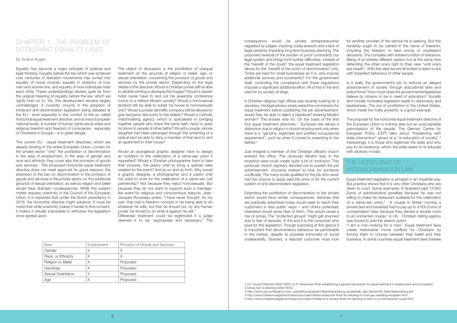## CHAPTER 1: THE PROBLEM OF Intolerant Equality Laws

By Gudrun Kugler

Equality has become a major principle of political and legal thinking. Equality before the law which was achieved over centuries of liberation movements has turned into equality of moral choices, equality in statistics of how men and women live, and equality of how individuals treat each other. These understandings deviate quite far from the original meaning of equality before the law, which we rightly hold on to. Yet, this development remains largely unchallenged. It currently mounts in the adoption of intolerant anti-discrimination legislation being debated at the EU - level especially in the context of the so called horizontal equal treatment directive, and at many European national levels. A number of human rights are at stake and religious freedom and freedom of conscience - especially of Christians in Europe – is in great danger.

The current EU - equal treatment directives, which are already binding in the entire European Union, contain for the private sector "only" the prohibition of discrimination in the area of employment, in the area of gender and race and ethnicity they cover also the provision of goods and services. The proposed horizontal equal treatment directive does not meet approval for good reasons: the extension of the ban on discrimination in the provision of goods and services in the private sector on the additional grounds of sexual orientation, as well as religion and belief would have dramatic consequences. While this subject matter requires unanimity in the Council of the European Union, it is expected that under the Dutch presidency in 2016, the horizontal directive might advance. It must be noted that while unanimity makes it harder to find consent, it makes it virtually impossible to withdraw the legislation once agreed upon.

A Christian religious high official was recently looking for a secretary. His legal advisor wisely asked the commission for equal treatment before publishing the job advertisement: would they be able to reject a headscarf-wearing Muslim woman? The answer was no. On the basis of the first four equal treatment directives,<sup>1</sup> European law allows a distinction due to religion in church employment only when there is a "genuine, legitimate and justified occupational requirement", such as when it comes to preaching to the faithful.<sup>2</sup>

The object of discussion is the prohibition of unequal treatment on the grounds of religion or belief, age, or sexual orientation, concerning the provision of goods and services by the private sector. Depending on the legal details of the directive: Would a Christian printer still be able to decline printing a disrespectful images? Would a Jewish hotel owner have to rent out his assembly conference rooms to a militant Muslim society? Would a homosexual landlord still be able to sublet his house to homosexuals only? Would a private rail traffic company still be allowed to give exclusive discounts to the elderly? Would a Catholic matchmaking agency which is specialised in bringing together people who share the same faith, have to open its doors to people of other faiths? Would a couple, whose daughter had been estranged through the scheming of a radical sect be able to deny a member of that sect to rent an apartment in their house?

Would an evangelical graphic designer have to design an invitation to the celebration of a same-sex union if requested? Would a Christian photographer have to take their pictures, the pastry chef to bring a special cake created for the event? And so on and so forth. Why would a graphic designer, a photographer and a pastry chef not want to work for the celebration of a same-sex civil partnership? Not because they reject homosexuals. But because they do not want to support such a marriagelike event for religious and conscientious reasons. Jean-Jacques Rousseau writes: "I have never thought, for my part, that man's freedom consists in his being able to do whatever he wills, but that he should not, by any human power, be forced to do what is against his will." Differential treatment could be legitimized if a judge deemed it to be "appropriate and necessary." The Is it really the government's job to enforce an alleged advancement of society through educational laws and police force? How much does the governmental legislature believe its citizens to be in need of education? Socially and morally motivated legislation leads to dishonesty and lawlessness. The era of prohibition in the United States, which made the mafia powerful, is a good example.

The proposal for the horizontal equal treatment directive of the European Union is nothing else but an unacceptable patronisation of the people. The German Centre for European Policy (CEP) talks about "threatening with state intervention" aimed at a "re-education of society".<sup>3</sup> Interestingly, it is those who legitimise the state and who pay for its existence, whom the state seeks to re-educate with arbitrary morals.

| Area               | Employment | Provision of Goods and Services |
|--------------------|------------|---------------------------------|
| Gender             | Χ          | X                               |
| Race or Ethnicity  | X          | X                               |
| Religion or Belief | Χ          | Proposed                        |
| Handicap           | Χ          | Proposed                        |
| Sexual Orientation | Χ          | Proposed                        |
| Age                | Χ          | Proposed                        |

consequence would be private entrepreneurship regulated by judges, implying costly lawsuits and a lack of legal certainty, impeding long term business planning. The proposed reversal of the burden of proof contradicts our legal system and brings forth further difficulties. Instead of the "benefit of the doubt" the equal treatment legislation allows for the "benefit of the victim of discrimination" only. Times are hard for small businesses as it is, why impose additional sorrows and constraints? For the government itself, controlling the compliance with these regulations imposes a significant additional effort. All of this in the end paid for by society at large.

Just imagine a member of this Christian official's church entered the office: The obviously Muslim lady in the reception area could create quite a bit of confusion. This particular church dignitary decided not to publish the job advertisement, choosing instead to look for someone unofficially. The many locals qualified for the job who never had the chance to apply paid the price of for the current system of anti-discrimination legislation.

Extending the prohibition of discrimination to the private sector would have similar consequences. Services that are publically advertised today would seek to reach their customers in less public ways – and others potentially interested would never hear of them. This would cause a rise of prices. The "protected groups" might get shunned due to fear of lawsuits. In the end it is the consumer who pays for this legislation. Though surprising at first glance it is important that discriminatory behaviour be permissible in the market, despite its possible immorality or social undesirability. Granted, a rejected customer must look

for another provider of the service he is seeking. But this hardship ought to be carried in the name of freedom, including the freedom to take wrong or unpleasant decisions. This complies with Voltaire's notion of tolerance: Being of an entirely different opinion but at the same time defending the other one's right to their view "until one's last breath". With this idea we are all invited to learn to live with imperfect behaviour of other people.

## THE HIDDEN BIAS OF ANTIDISCRIMINATION LAW

Equal treatment legislation is phrased in an impartial way. But practice shows that it is very often Christians who are taken to court. Some examples: A Spaniard paid 12'000 Euros of administrative penalties because he was not willing to make his restaurant available for the celebration of a same-sex union.<sup>4</sup> A couple in Britain running a private bed and breakfast had to pay up to 4'000 Euros of compensation fees because they denied a double room to an unmarried couple.<sup>5</sup> A US - Christian dating agency was forced to add the search option

"I am a man looking for a man". Equal treatment laws create irresolvable moral conflicts for Christians by forcing them to choose between their belief and their business. In some countries equal treatment laws foresee

1 Clf. Council Directive 2000/78/EC of 27 November 2000 establishing a general framework for equal treatment in employment and occupation.

3 http://www.cep.eu/fileadmin/user\_upload/Kurzanalysen/Gleichbehandlung\_ausserhalb\_des\_Berufs/KA\_Gleichbehandlung.pdf 4 http://www.intoleranceagainstchristians.eu/case/madrid-restaurant-fined-for-refusing-to-host-gay-wedding-reception.html 5 http://www.intoleranceagainstchristians.eu/case/christian-b-b-owners-fined-for-denying-a-room-to-a-homosexual-couple.html

<sup>2</sup> Article 4(2) of directive 2000/78/EC.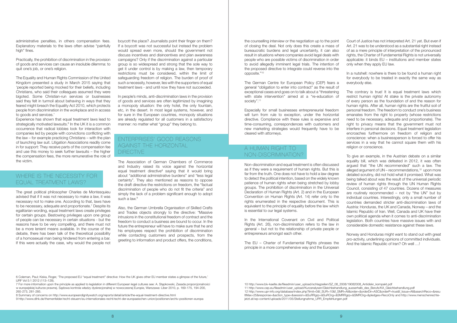administrative penalties, in others compensation fees. Explanatory materials to the laws often advise "painfully high" fines.

The Equality and Human Rights Commission of the United Kingdom presented a study in March 2015 saying that 'people reported being mocked for their beliefs, including Christians, who said their colleagues assumed they were bigoted. Some Christian-run services or businesses said they felt in turmoil about behaving in ways that they feared might breach the Equality Act 2010, which protects people from discrimination in the workplace and in access to goods and services.

Practically, the prohibition of discrimination in the provision of goods and services can cause an insoluble dilemma: to quit one's job, or one's religion.

Experience has shown that equal treatment laws lead to strategically motivated lawsuits.<sup>6</sup> In the UK it is a common occurrence that radical lobbies look for interaction with companies led by people with convictions conflicting with the law – for example practicing Christians – with the plan of launching law suit. Litigation Associations readily come in for support: They receive parts of the compensation fee and use this money to seek further lawsuits – the higher the compensation fees, the more remunerative the role of the victim.

## WHERE IS THE NECESSITY FOR EQUAL TREATMENT LAWS?

## ENTERPRISES' GOOD REASONS AGAINST THE HORIZONTAL **DIRECTIVE**

The Association of German Chambers of Commerce and Industry raised its voice against the horizontal equal treatment directive<sup>8</sup> saying that it would bring about "additional administrative burdens" and "less legal certainty". They also mentioned as reasons to oppose the draft directive the restrictions on freedom, the "factual discrimination of people who do not fit the criteria" and simply the lack of a problem significant enough to adopt such a law.<sup>9</sup>

The great political philosopher Charles de Montesquieu advised that if it was not necessary to make a law, it was necessary not to make one. According to that, laws have to be necessary, adequate and proportionate.<sup>7</sup> Despite its egalitarian wording, equal treatment laws create privileges for certain groups. Bestowing privileges upon one group of people can be necessary in certain situations - but the reasons have to be very compelling, and there must not be a more lenient means available. In the course of the debate, there has been talk of the theoretical possibility of a homosexual man being hindered from entering a bar. If this were actually the case, why would the people not

The German Centre for European Policy (CEP) fears a general "obligation to enter into contract" as the result of exceptional cases and goes on to talk about a "threatening with state intervention" aimed at a "re-education of society".<sup>11</sup>

boycott the place? Journalists point their finger on them? If a boycott was not successful but instead the problem would spread even more, should the government not discuss incentives and disincentives and plan awareness campaigns? Only if the discrimination against a particular group is so widespread and strong that the sole way to get it under control is by making a law, then temporary restrictions must be considered, within the limit of safeguarding freedom of religion. The burden of proof of such a necessity, however, lies with the supporters of equal treatment laws - and until now they have not succeeded.

In people's minds, anti-discrimination laws in the provision of goods and services are often legitimized by imagining a monopoly situation: the only hotel, the only fountain, etc, in the desert. In most legal systems, however, and for sure in the European countries, monopoly situations are already regulated for all customers in a satisfactory manner: no matter what "group" they belong to.

The contrary is true! It is equal treatment laws which restrict human rights! At stake is the private autonomy of every person as the foundation of and the reason for human rights. After all, human rights are the fruitful soil of personal freedom. The freedom to conduct one's business emanates from the right to property (whose restrictions need to be necessary, adequate and proportionate). The right to privacy means that the government must not interfere in personal decisions. Equal treatment legislation encroaches furthermore on freedom of religion and conscience: when a businessperson is forced to offer his services in a way that he cannot square them with his religion or conscience.

Also, the German Umbrella Organisation of Skilled Crafts and Trades objects strongly to the directive: "Massive intrusions in the constitutional freedom of contract and the freedom to conduct a business are bound to occur. In the future the entrepreneur will have to make sure that he and his employees respect the prohibition of discrimination while contacting customers and prospects, from the greeting to information and product offers, the conditions,

the counselling interview or the negotiation up to the point of closing the deal. Not only does this create a mass of bureaucratic burdens and legal uncertainty, it can also result in situations where companies avoid legal deals with people who are possible victims of discrimination in order to avoid allegedly imminent legal trials. The intention of the proposed directive to integrate could reverse into the opposite."10

Especially for small businesses entrepreneurial freedom will turn from rule to exception, under the horizontal directive. Compliance with these rules is expensive and time-consuming, correspondences with customers and new marketing strategies would frequently have to be cleared with attorneys.

## A HUMAN RIGHT TO NON-DISCRIMINATION?

Non-discrimination and equal treatment is often discussed as if they were a requirement of human rights. But this is far from the truth. One does not have to hold a law degree to detect the political intention, based on the widely known patience of human rights when being stretched by lobby groups. The prohibition of discrimination in the Universal Declaration of Human Rights (Art. 2) and in the European Convention on Human Rights (Art. 14) refer only to the rights enumerated in the respective document. This is equivalent to the principle of equality before the law which is essential to our legal systems.

In the International Covenant on Civil and Political Rights (Art. 26), non-discrimination refers to the law in general – but not to the relationship of private people or entrepreneurs amongst each other.

The EU – Charter of Fundamental Rights phrases the principle in a more comprehensive way and the European Court of Justice has not interpreted Art. 21 yet. But even if Art. 21 was to be understood as a substantial right instead of as a mere principle of interpretation of the pronounced rights, the Charter of Fundamental Rights is not universally applicable: it binds EU – institutions and member states only when they apply EU law.

In a nutshell: nowhere is there to be found a human right for everybody to be treated in exactly the same way as everybody else.

To give an example, in the Austrian debate on a similar equality bill, which was defeated in 2012, it was often argued that "the UN recommended" such a law. The alleged argument of  $UN$  – recommendations,<sup>12</sup> upon more detailed scrutiny, did not hold what it promised. What was being talked about was the result of the universal periodic review of human rights through the UN Human Rights Council, consisting of 47 countries. Dozens of measures are routinely recommended – not by "the UN" but by individual countries. Interestingly, only a small number of countries demanded stricter anti-discrimination laws of Austria: Honduras, the UK and Canada, Norway – and the Islamic Republic of Iran. Well, Canada and UK have their own political agenda when it comes to anti-discrimination legislation. Both countries have massive issues with and considerable domestic resistance against these laws.

Norway and Honduras might want to stand out with great pro-activity, underlining opinions of committed individuals. And the Islamic Republic of Iran? Oh well …!

6 Coleman, Paul; Kiska, Roger, 'The proposed EU "equal treatment" directive: How the UK gives other EU member states a glimpse of the future,' IJRF Vol 5:1 2012 (113–128).

7 For more information upon the principle as applied to legislation in different European legal cultures see: A. Stępkowski, Zasada proporcjonalności w europejskiej kulturze prawnej. Sądowa kontrola władzy dyskrecjonalnej w nowoczesnej Europie, Warszawa: Liber 2010, p. 169-175, 194-200, 265-273, 281-285.

8 Summary of concerns on http://www.europeandignitywatch.org/reports/detail/article/the-equal-treatment-directive.html

9 http://www.dihk.de/themenfelder/recht-steuern/eu-internationales-recht/recht-der-europaeischen-union/positionen/archiv-positionen-europa

10 http://www.biv-kaelte.de/fileadmin/user\_upload/schlagzeilen/SZ\_08\_2008/19082008\_Antidiskr\_kompakt.pdf 11 http://www.cep.eu/fileadmin/user\_upload/Kurzanalysen/Gleichbehandlung\_ausserhalb\_des\_Berufs/KA\_Gleichbehandlung.pdf 12 http://www.upr-info.org/database/index.php?limit=0&f\_SUR=10&f\_SMR=All&order=&orderDir=ASC&orderP=true&f\_Issue=All&searchReco=&resu ltMax=25&response=&action\_type=&session=&SuRRgrp=&SuROrg=&SMRRgrp=&SMROrg=&pledges=RecoOnly and http://www.menschenrechtejetzt.at/wp-content/uploads/2011/05/Stellungnahme\_UPR\_Empfehlungen.pdf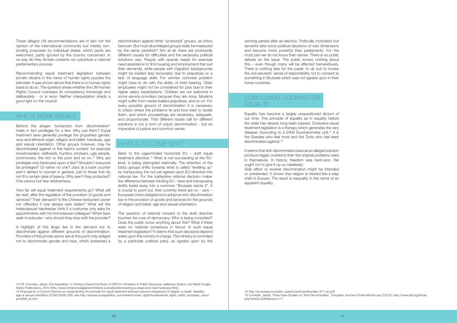These alleged UN recommendations are in fact not the opinion of the international community but merely nonbinding proposals by individual states, which partly are welcomed, partly ignored by the country concerned. In no way do they dictate contents nor substitute a national parliamentary process.

Recommending equal treatment legislation between private citizens in the name of human rights puzzles the beholder. It was shown above that there is no human rights basis to do so. The question arises whether the UN Human Rights Council oversteps its competency knowingly and deliberately - or in error. Neither interpretation sheds a good light on the council.

## WHO IS MORE EQUAL?

Behind the slogan "protection from discrimination" hides in fact privileges for a few. Why just them? Equal treatment laws generally privilege the properties gender, race and ethnical origin, religion and belief, handicap, age and sexual orientation. Other groups however, may be discriminated against to the heart's content: for example snowboarders, redheads, hunters, smokers, ugly people, commoners, the rich or the poor and so on.13 Why are privileges only bestowed upon a few? Shouldn't everyone be privileged? Or rather no one? Jobs at a bank counter aren't denied to women in general, just to those that do not fit a certain ideal of beauty. Why aren't they protected? One cannot but fear arbitrariness.

How far will equal treatment requirements go? What will be next, after the regulation of the provision of goods and services? Their demand? Is the Chinese restaurant owner not offended if one always eats Italian? What will the heterosexual hairdresser think if a costumer only asks for appointments with his homosexual colleague? When laws seek to educate – why should they stop with the provider?

A highlight of this illogic lies in the demand not to discriminate against different grounds of discrimination. Providers of the private sector are at this point only obliged not to discriminate gender and race, which presented a Equality has become a largely unquestioned dictum of our time. The principle of equality as in equality before the state has already long been passed. Excessive equal treatment legislation is a therapy which generates the very disease: According to a 2009 Eurobarometer poll,<sup>15</sup> it is the Swedes who feel most and the Turks who feel least discriminated against.<sup>16</sup>

discrimination against other "protected" groups, as critics bemoan. But must all privileged groups really be measured by the same yardstick? Not at all: there are profoundly different causes for difficulties and the necessary political solutions vary. People with special needs for example need assistance to find housing and employment that suit their demands, while people with migration backgrounds might be treated less favourably due to prejudices or a lack of language skills. For women concrete problem might have to do with the ability of child bearing. Older employees might not be considered for jobs due to their higher salary expectations. Children are not welcome in some service providers because they are noisy, Muslims might suffer from media-fuelled prejudices, and so on. For every possible ground of discrimination it is necessary to check where the problems lie and how best to tackle them, and which proceedings are necessary, adequate, and proportionate. That different issues call for different solutions is not a form of unjust discrimination - but an imperative of justice and common sense.

> Side effect or reverse discrimination might be intended or unintended. It shows that religion is treated like a step child in Europe: The result is inequality in the name of an apparent equality.

## WHAT IS TO COME NEXT?

Back to the pigeonholed horizontal EU – draft equal treatment directive.14 What is not succeeding at the EUlevel, is being attempted nationally. The attention of the lobby groups shifts towards what is called "levelling up" by transposing the not-yet agreed upon EU-directive into national law. For the inattentive national decision maker the difference between binding EU - laws and transposing drafts fades away into a common "Brussels wants it". It is crucial to point out, that currently there are no – zero – European Union obligations to adopt an anti-discrimination law in the provision of goods and services for the grounds of religion and belief, age and sexual orientation.

The question of national consent to the draft directive touches the core of democracy: Who is being consulted? Does the public know anything about this? What if there were no national consensus in favour of such equal treatment legislation? It seems that such decisions depend solely upon the ministry in charge. The ministry is controlled by a particular political party, as agreed upon by the winning parties after an election. Politically motivated civil servants take socio-political decisions of vast dimensions and become more powerful than parliaments. For the most part we do not know their names. There is no public debate on the issue. The public knows nothing about this – even though many will be affected tremendously. There is nothing else for the public to do but to invoke the civil servants' sense of responsibility not to consent to something in Brussels which was not agreed upon in their home countries.

## CONCLUSION: LOOKING FOR EQUALITY

It seems that anti-discrimination laws as an alleged solution produce bigger problems than the original problems were in themselves. In history, freedom was hard-won. We ought not to give it up so carelessly.

13 Clf. Cornides, Jakob, Fiat Aequalitas, in: Exiting a Dead End Road, A GPS for Christians in Public Discourse, edited by Gudrun and Martin Kugler, Kairos Publications, 2010 (http://www.intoleranceagainstchristians.eu/publications/exiting-a-dead-end-road-hardcopy.html).

14 Proposal for a Council Directive on implementing the principle for equal treatment between persons irrespective of religion or belief, disability, age or sexual orientation (COM (2008) 426), see http://europa.eu/legislation\_summaries/human\_rights/fundamental\_rights\_within\_european\_union/ em0008\_en.htm

15 http://ec.europa.eu/public\_opinion/archives/ebs/ebs\_317\_en.pdf 16 Cornides, Jakob, Three Case Studies on 'Anti-Discrimination', European Journal of International Law 2/2012, http://www.ejil.org/article. php?article=2280&issue=111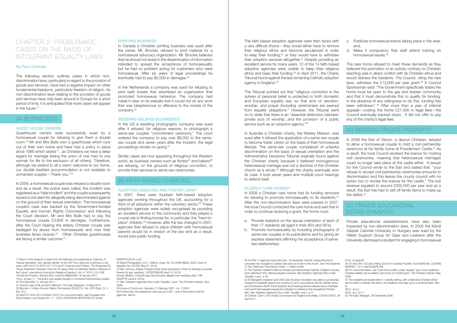The faith-based adoption agencies were then faced with a very difficult choice – they would either have to remove their religious ethos and become secularized in order to keep their funding,<sup>30</sup> or they would have to withdraw their adoption services altogether.31 Despite providing an excellent service for many years, 12 of the 14 faith-based adoption agencies were unable to keep their religious ethos and keep their funding.<sup>32</sup> In April 2011, the Charity Tribunal found against the last remaining Catholic adoption agency in England.<sup>33</sup>

The Tribunal pointed out that "religious conviction in the sphere of personal belief is protected in both domestic and European equality law, so that acts of devotion, worship, and prayer (including ceremonies) are exempt from equality obligations." However, the Tribunal went on to state that there is an "essential distinction between private acts of worship...and the provision of a public service such as an adoption agency."<sup>34</sup>

In Australia a Christian charity, the Wesley Mission, was sued after it refused the application of a same-sex couple to become foster carers on the basis of their homosexual lifestyle. The same-sex couple complained of unlawful discrimination on the basis of sexual orientation and the Administrative Decisions Tribunal originally found against the Christian charity because it believed monogamous heterosexual marriage was not a doctrine of the Christian church as a whole.35 Although the charity eventually won its case, it took seven years and multiple court hearings to defend itself.

In 2008 the Earl of Devon, a devout Christian, refused to allow a homosexual couple to hold a civil partnership ceremony at his family home at Powderham Castle.41 As a result, the local Council revoked the licence for hosting civil ceremonies, meaning that heterosexual marriages could no longer take place at the castle either. A lawyer for the Council wrote to the Earl and stated that: "your refusal to accept civil partnership ceremonies amounts to discrimination and this leaves the county council with no option but to revoke the licence for the castle." The lost revenue equated to around £200,000 per year and as a result, the Earl has had to sell off family items to make up the deficit.<sup>42</sup>

#### Elderly Care Homes36

In 2008 a Christian care home had its funding removed for refusing to promote homosexuality to its residents.<sup>37</sup> After the non-discrimination laws were passed in 2007, the local Council contacted the care home and said that in order to continue receiving a grant, the home must:

- a. Provide statistics on the sexual orientation of each of their 17 residents (all aged in their 80's and 90's);
- b. Promote homosexuality by including photographs of same-sex couples in its publications and by giving an express statement affirming the acceptance of samesex relationships;

## CHAPTER 2: PROBLEMATIC Cases on the Basis of Intolerant Equality Laws

The following section outlines cases in which nondiscrimination laws, particularly in regard to the provision of goods and services, have had a negative impact on other fundamental freedoms, particularly freedom of religion. As non-discrimination laws relating to the provision of goods and services have only been around in Europe for a short period of time, it is anticipated that more cases will appear in the future. $17$ 

- c. Publicise homosexual events taking place in the area, and;
- d. Make it compulsory that staff attend training on homosexual issues.38

In 2009, a homosexual couple was refused a double room and as a result, the police were called, the incident was registered as a "hate incident" and the couple subsequently issued a civil claim for allegedly being discriminated against on the ground of their sexual orientation. The homosexual couple's case was backed by the Government-funded Equality and Human Rights Commission and following the Court decision, Mr and Mrs Bulls had to pay the homosexual couple £3,600 in damages. Furthermore, after the Court hearing the elderly Christian couple was besieged by abuse from homosexuals and now their business faces closure.20 Other Christian guesthouses are facing a similar outcome.<sup>21</sup>

#### PRINTING BUSINESS

The care home refused to meet these demands as they believed the promotion of an activity contrary to Christian teaching was in direct conflict with its Christian ethos and would distress the residents. The Council, citing the new laws, withdrew the £13,000 per year grant.<sup>39</sup> A Council Spokesman said: "The Government specifically states the home must be open to the gay and lesbian community and that it must demonstrate this to qualify for funding. In the absence of any willingness to do this, funding has been withdrawn".40 After more than a year of internal appeals—costing the home £21,000 in legal fees—the Council eventually backed down. It did not offer to pay any of the charity's legal fees.

In Canada a Christian printing business was sued after the owner, Mr. Brockie, refused to print material for a homosexual advocacy organization. Mr. Brockie believed that he should not assist in the dissemination of information intended to spread the acceptance of homosexuality but he had no problem acting for customers who were homosexual. After six years of legal proceedings he eventually had to pay \$5,000 in damages.<sup>22</sup>

## (c) Renting Private Property

## (d) Private educational establishments

Private educational establishments have also been impacted by non-discrimination laws. In 2005 the Károli Gáspár Calvinist University in Hungary was sued by the Háttér Support Group for Gays and Lesbians after the University dismissed a student for engaging in homosexual

#### By Paul Coleman

20 The Daily Mail, 21 January 2011. 21 See the case of Mr and Mrs Wilkinson. The Daily Telegraph, 15 May 2010.

## (a) Businesses

#### Guest house owners

Guesthouse owners were successfully sued by a homosexual couple for refusing to give them a double room.18 Mr and Mrs Bulls own a guesthouse which runs out of their own home and have had a policy in place since 1986 which stated "...as Christians we have a deep regard for marriage (being the union of one man to one woman for life to the exclusion of all others). Therefore, although we extend to all a warm welcome to our home, our double bedded accommodation is not available to unmarried couples – Thank you."19

> 33 Catholic Care v. The Charity Commission for England and Wales, CA/2010/0007, 26  $\Delta$ pril 2011.

In the Netherlands a company was sued for refusing to print bath towels that advertised an organization that promoted homosexual behaviour. The company had made it clear on its website that it would not do any work that was blasphemous or offensive to the morals of the company.23

#### Wedding-related businesses

In the US a wedding photography company was sued after it refused, for religious reasons, to photograph a same-sex couples "commitment ceremony." The court ordered the company to pay over \$6,000 to the samesex couple and seven years after the incident, the legal proceedings remain on-going.24

Similar cases are now appearing throughout the Western world, as business owners such as florists<sup>25</sup> and bakers<sup>26</sup> are refusing, on the grounds of religious conviction, to provide their services to same-sex ceremonies.

## (b) Faith-based Charities

#### ADOPTION AGENCIES AND FOSTER CARE<sup>27</sup>

In 2007, there were fourteen faith-based adoption agencies working throughout the UK, accounting for a third of all adoptions within the voluntary sector.<sup>28</sup> These adoption agencies were widely recognised as providing an excellent service to the community and they played a crucial role in finding homes for, in particular, the "hard-toplace" children.29 However, after the law changed in 2007, agencies that refused to place children with homosexual parents would be in breach of the law and as a result, would lose public funding.

17 Much of this research is taken from the following two publications: Coleman, P, 'Sexual orientation' and 'gender identity' at the UN: From obscurity to primacy in ten years, IJRF Vol 6:1/2 2013 (127–141) and P Coleman and R Kiska, 'The Proposed EU "Equal Treatment" Directive: How the UK gives Other EU Member States a Glimpse of the Future', International Journal for Religious Freedom, Vol. 5:1 2012 (113–128). 18 Hall and Preddy v Bull and Bull, Case No 9BS02095, 18 January 2011. 19 Id., at para 11. The policy was applied equally to unmarried heterosexual couples.

22 Brockie v. Ontario (Human Rights Commission) [2002] O.J. No. 2375 (Sup. Ct. J. (Div. Ct.)).

23 See ETC 2010-32 of 9 March 2010. For more information, see European Anti-Discrimination Law Review No. 11 – 2010, EUROPEAN NETWORK OF LEGAL

EXPERTS (2010) p.67.

24 Elane Photography, LLC v. Willock, Case. No. CV-2008-06632, (N.M. Court of Appeals, No. 30,203, May 31, 2012).

25 Ben Johnson, Elderly Christian florist faces thousands in fines for refusing to provide flowers for gay 'wedding', LIFESITENEWS (April 10, 2013).

26 Ivan Moreno, Colorado gay discrimination alleged over wedding cake, THE GAZETTE (June 6, 2013).

27 See 'Adoption Agencies Shut under 'Equality' Laws', The Christian Institute, April 2009.

28 House of Commons, Hansard, 21 February 2007, col. 110WH. 29 Furthermore, the breakdown rate was just 3.6% - one of the lowest of all the agencies. See Id.

30 9 of the 14 agencies have done this. For example, Catholic Caring Services in Lancaster has changed to Caritas Care and cut its ties to the church. See The Observer, 21 Dec 2008 and Third Sector Online, 11 March 2009.

31 The Catholic Children's Rescue Society and Westminster Catholic Children's Society have withdrawn from offering adoption services. See Adoption Agencies Shut under 'Equality' Laws', p.16.

32 St Margaret's Adoption and Child Care Society in Scotland was able to successfully change its charitable objects and continue to act in accordance with its Catholic ethos and Cornerstone (North East) Adoption and Fostering Service already had a charitable instrument that required prospective adopters to adhere to the evangelical Christian faith. See 'Adoption Agencies Shut under 'Equality' Laws', p.17.

34 Id., at para 60.

37 The residents are looked after in "a family setting, with a distinctive Christian ethos" and in order to maintain this ethos, the residents must sign up to a doctrinal basis. See Id.

38 Id., at p.5.

39 Id., at p.10-11.

40 The Daily Telegraph, 28 December 2008.

<sup>35</sup> OV and OW v QZ and Uniting Church in Australia Property Trust (NSW) (No. 2) [2008] NSWADT 115 (1 April 2008) ¶ 126.

<sup>36</sup> For more information, see 'Care home suffers under 'equality' laws: How traditional Christian beliefs cost an elderly care home a £13,000 grant,' The Christian Institute, May 2009.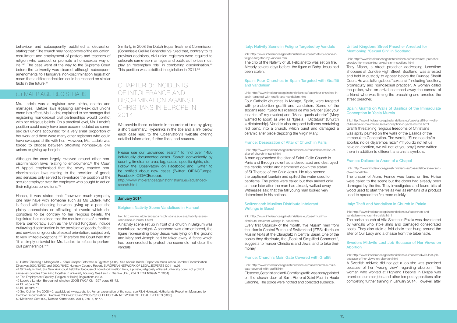link: http://www.intoleranceagainstchristians.eu/case/nativity-scene-infoligno-targeted-by-vandals.html

The crib of the Nativity of St. Felicianetto was set on fire. Already several days before, the figure of Baby Jesus had been stolen.

#### [Spain: Four Churches in Spain Targeted with Graffiti](http://www.intoleranceagainstchristians.eu/case/four-churches-in-spain-targeted-with-graffiti-and-vandalism.html)  [and Vandalism](http://www.intoleranceagainstchristians.eu/case/four-churches-in-spain-targeted-with-graffiti-and-vandalism.html)

Link: http://www.intoleranceagainstchristians.eu/case/four-churches-inspain-targeted-with-graffiti-and-vandalism.html

Four Catholic churches in Malaga, Spain, were targeted with pro-abortion graffiti and vandalism. Some of the slogans read: "Saca tus rosarios de mis ovarios" (Get your rosaries off my ovaries) and "Maria queria abortar" (Mary wanted to abort) as well as "Iglesia = Dictatura" (Church = dictatorship). Vandals also dropped balloons containing red paint, into a church, which burst and damaged a ceramic alter piece depicting the Virgin Mary.

#### [France: Desecration of Altar of Church in Paris](http://www.intoleranceagainstchristians.eu/case/desecration-of-altar-of-church-in-paris.html)

Link: http://www.intoleranceagainstchristians.eu/case/desecration-ofaltar-of-church-in-paris.html

A man approached the altar of Saint-Odile Church in Paris and through violent acts desecrated and destroyed the candle holder and hammered down the statue of St Therese of the Child Jesus. He also opened the baptismal fountain and spilled the water used for baptisms. The police were called but they arrived only an hour later after the man had already walked away. Witnesses said that the tall young man looked very determined in his actions.

#### [Switzerland: Muslims Distribute Intolerant](http://www.intoleranceagainstchristians.eu/case/muslims-distribute-intolerant-writings-in-basel.html)  [Writings in Basel](http://www.intoleranceagainstchristians.eu/case/muslims-distribute-intolerant-writings-in-basel.html)

link: http://www.intoleranceagainstchristians.eu/case/muslimsdistribute-intolerant-writings-in-basel.html

Every first Saturday of the month, five Muslim men from the Islamic Central Bureau of Switzerland (IZRS) distribute Muslim texts at the Claraplatz in Central Basel. One of the books they distribute, the ..Book of Simplified Comment", suggests to murder Christians and Jews, and to take their money

#### [France: Church's Main Gate Covered with Graffiti](http://www.intoleranceagainstchristians.eu/case/church-s-main-gate-covered-with-graffiti.html)

Link: http://www.intoleranceagainstchristians.eu/case/church-s-maingate-covered-with-graffiti.html

#### [Sweden: Midwife Lost Job Because of Her Views on](http://www.intoleranceagainstchristians.eu/case/midwife-lost-job-because-of-her-views-on-abortion.html)  **[Abortion](http://www.intoleranceagainstchristians.eu/case/midwife-lost-job-because-of-her-views-on-abortion.html)**

Obscene, Satanist and anti-Christian graffiti was spray painted on the church door of Saint-Pierre-et-Saint-Paul in Haute Garonne. The police were notified and collected evidence.

behaviour and subsequently published a declaration stating that: "The church may not approve of the education, recruitment and employment of pastors and teachers of religion who conduct or promote a homosexual way of life."43 The case went all the way to the Supreme Court before the University was cleared, although subsequent amendments to Hungary's non-discrimination legislation mean that a different decision could be reached on similar facts in the future  $44$ 

#### [United Kingdom: Street Preacher Arrested for](http://www.intoleranceagainstchristians.eu/case/street-preacher-arrested-for-mentioning-sexual-sin-in-scotland.html)  [Mentioning "Sexual Sin" in Scotland](http://www.intoleranceagainstchristians.eu/case/street-preacher-arrested-for-mentioning-sexual-sin-in-scotland.html)

Link: http://www.intoleranceagainstchristians.eu/case/street-preacherarrested-for-mentioning-sexual-sin-in-scotland.html

Tony Miano, a street preacher addressing lunchtime shoppers at Dundee High Street, Scotland, was arrested and held in custody to appear before the Dundee Sheriff Court. He was talking about "sexual sin" including "adultery, promiscuity and homosexual practice". A woman called the police, who on arrival snatched away the camera of a friend who was filming the preaching and arrested the street preacher.

#### [Spain: Graffiti on Walls of Basilica of the Immaculate](http://www.intoleranceagainstchristians.eu/case/graffiti-on-walls-of-basilica-of-the-immaculate-conception-in-yecla-murcia.html)  [Conception in Yecla Murcia](http://www.intoleranceagainstchristians.eu/case/graffiti-on-walls-of-basilica-of-the-immaculate-conception-in-yecla-murcia.html)

link: http://www.intoleranceagainstchristians.eu/case/graffiti-on-wallsof-basilica-of-the-immaculate-conception-in-yecla-murcia.html Graffiti threatening religious freedoms of Christians was spray painted on the walls of the Basilica of the Immaculate Conception. The words, "Si no nos dejáis abortar, no os dejaremos rezar" ("If you do not let us have an abortion, we will not let you pray") were written there in addition to different anarchists symbols.

Similarly, in 2008 the Dutch Equal Treatment Commission (Commissie Gelijke Behandeling) ruled that, contrary to its previous decisions, civil union registrars were required to celebrate same-sex marriages and public authorities must play an "exemplary role" in combating discrimination.<sup>49</sup> This position was solidified in legislation in 2011.<sup>50</sup>

#### [France: Deliberate Arson of a Chapel](http://www.intoleranceagainstchristians.eu/case/deliberate-arson-of-a-chapel.html)

Link: http://www.intoleranceagainstchristians.eu/case/deliberate-arsonof-a-chapel.html

We provide these incidents in the order of time by giving a short summary. Hyperlinks in the title and a link below each case lead to the Observatory's website offering detailed information, further links, and sources.

> The chapel of Aibre, France was found on fire. Police were called to the scene but the doors had already been damaged by the fire. They investigated and found bits of wood used to start the fire as well as remains of a product used to spread the fire more quickly.

Please use our "advanced search" to find over 1450 individually documented cases. Search conveniently by country, timeframe, area, tag, cause, specific rights, etc. Follow the Observatory on Facebook and Twitter to be notified about new cases (Twitter: OIDACEurope, Facebook: OIDACEurope).

http://www.intoleranceagainstchristians.eu/advancedsearch html

#### [Italy: Theft and Vandalism in Church in Palaia](http://www.intoleranceagainstchristians.eu/case/theft-and-vandalism-in-church-in-palaia.html)

link: http://www.intoleranceagainstchristians.eu/case/theft-andvandalism-in-church-in-palaia.html

The parish church of Villa Saletta in Palaia was devastated by vandals who stole alms and damaged consecrated hosts. They also stole a fold chain that hung around the alter of Our Lady and a chalice from the tabernacle.

link: http://www.intoleranceagainstchristians.eu/case/midwife-lost-jobbecause-of-her-views-on-abortion.html

A Swedish midwife did not get a job she was promised because of her "wrong view" regarding abortion. The woman who worked at Highland Hospital in Eksjoe was promised summer jobs and other temporary positions after completing further training in January 2014. However, after

### (e) Marriage Registrars

Ms. Ladele was a registrar over births, deaths and marriages. Before laws legalising same-sex civil unions came into effect, Ms. Ladele explained to her manager that registering homosexual civil partnerships would conflict with her religious beliefs. On a practical level, Ms. Ladele's position could easily have been accommodated as samesex civil unions accounted for a very small proportion of her work and there were many other registrars who could have swapped shifts with her. However, Ms. Ladele was forced to choose between officiating homosexual civil unions or giving up her job.

Although the case largely revolved around other nondiscrimination laws relating to employment,<sup>45</sup> the Court of Appeal emphasised that the newly enacted nondiscrimination laws relating to the provision of goods and services only served to re-enforce the position of the secular employer over the employee who sought to act on their religious convictions.46

Hence, it was stated that: "however much sympathy one may have with someone such as Ms Ladele, who is faced with choosing between giving up a post she plainly appreciates or officiating at events which she considers to be contrary to her religious beliefs, the legislature has decided that the requirements of a modern liberal democracy, such as the United Kingdom, include outlawing discrimination in the provision of goods, facilities and services on grounds of sexual orientation, subject only to very limited exceptions."47 Therefore the Court held that "it is simply unlawful for Ms. Ladele to refuse to perform civil partnerships."48

## Chapter 3: Incidents of Intolerance and Discrimination against Christians in Europe in 2014

#### January 2014

#### [Belgium: Nativity Scene Vandalised in Hainaut](http://www.intoleranceagainstchristians.eu/case/nativity-scene-vandalised-in-hainaut.html)

link: http://www.intoleranceagainstchristians.eu/case/nativity-scenevandalised-in-hainaut.html

A nativity scene set up in front of a church in Belgium was vandalised overnight. A shepherd was dismembered, the figure representing baby Jesus was lying on the ground and Mary and Joseph had be taken away. A fence which had been erected to protect the scene did not deter the vandals.

43 Háttér Társaság a Melegekért v. Károli Gáspár Református Egyetem (2005). See András Kádár, Report on Measures to Combat Discrimination Directives 2000/43/EC and 2000/78/EC Hungary Country Report, EUROPEAN NETWORK OF LEGAL EXPERTS (2011) p.93. 44 Similarly, in the US a New York court held that because of non-discrimination laws, a private, religiously affiliated university could not prohibit same-sex couples from living together in university housing. See Levin v. Yeshiva Univ., 754 N.E.2d 1099 (N.Y. 2001).

46 Ladele v London Borough of Islington [2009] EWCA Civ 1357 paras 68-72.

48 Id., at para 71.

49 See Opinion No 2008-40, available at <www.cgb.nl>. For an explanation of the case, see Rikki Holmaat, Netherlands Report on Measures to Combat Discrimination: Directives 2000/43/EC and 2000/78/EC, EUROPEAN NETWORK OF LEGAL EXPERTS (2008). 50 Motie van Gent c.s., Tweede Kamer 2010-2011, 27017, nr 77.

#### [Italy: Nativity Scene in Foligno Targeted by Vandals](http://www.intoleranceagainstchristians.eu/case/nativity-scene-in-foligno-targeted-by-vandals.html)

<sup>45</sup> The Employment Equality (Religion or Belief) Regulations 2003.

<sup>47</sup> Id., at para 73.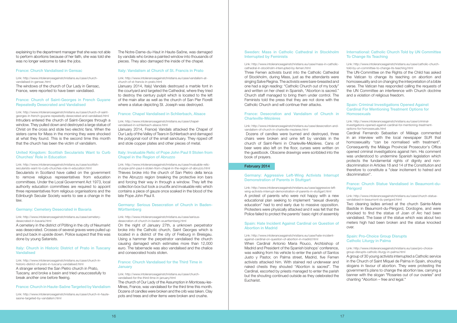#### [Sweden: Mass in Catholic Cathedral in Stockholm](http://www.intoleranceagainstchristians.eu/case/mass-in-catholic-cathedral-in-stockholm-interrupted-by-femen.html)  [Interrupted by Feminists](http://www.intoleranceagainstchristians.eu/case/mass-in-catholic-cathedral-in-stockholm-interrupted-by-femen.html)

#### Link: http://www.intoleranceagainstchristians.eu/case/mass-in-catholiccathedral-in-stockholm-interrupted-by-femen.html

Three Femen activists burst into the Catholic Cathedral of Stockholm, during Mass, just as the attendants were singing Salve Regina. The activists were bare-breasted and one had a sign reading: "Catholic Church out of my body" and written on her chest in Spanish, "Abortion is sacred." Church staff managed to bring them under control. The Feminists told the press that they are not done with the Catholic Church and will continue their attacks.

#### [Germany: Aggressive Left-Wing Activists Interrupt](http://www.intoleranceagainstchristians.eu/case/aggressive-left-wing-activists-interrupt-demonstration-of-parents-in-stuttgart.html)  [Demonstration of Parents in Stuttgart](http://www.intoleranceagainstchristians.eu/case/aggressive-left-wing-activists-interrupt-demonstration-of-parents-in-stuttgart.html)

Link: http://www.intoleranceagainstchristians.eu/case/aggressive-leftwing-activists-interrupt-demonstration-of-parents-in-stuttgart.html A protest of parents who were not happy with a new educational plan seeking to implement "sexual diversity education" had to end early due to massive opposition. Protesters were physically attacked and it was felt that the Police failed to protect the parents' basic right of assembly

#### [France: Desecration and Vandalism of Church in](http://www.intoleranceagainstchristians.eu/case/desecration-and-vandalism-of-church-in-charleville-mezieres.html%20) [Charleville-Mézières](http://www.intoleranceagainstchristians.eu/case/desecration-and-vandalism-of-church-in-charleville-mezieres.html%20)

#### Link: http://www.intoleranceagainstchristians.eu/case/desecration-andvandalism-of-church-in-charleville-mezieres.html

Dozens of candles were burned and destroyed, three chairs were broken and urine left by vandals in the church of Saint-Remi in Charleville-Mézières. Cans of beer were also left on the floor, curses were written on the guestbook. Obscene drawings were scribbled into the book of prayers.

#### February 2014

#### [Spain: Criminal Investigations Opened Against](http://www.intoleranceagainstchristians.eu/case/criminal-investigations-opened-against-cardinal-for-mentioning-treatment-options-for-homosexuals.html)  [Cardinal For Mentioning Treatment Options for](http://www.intoleranceagainstchristians.eu/case/criminal-investigations-opened-against-cardinal-for-mentioning-treatment-options-for-homosexuals.html)  **[Homosexuals](http://www.intoleranceagainstchristians.eu/case/criminal-investigations-opened-against-cardinal-for-mentioning-treatment-options-for-homosexuals.html)**

#### [Spain: Hate Incident Against Cardinal on Question of](http://www.intoleranceagainstchristians.eu/case/hate-incident-against-cardinal-on-question-of-abortion-in-madrid.html)  [Abortion in Madrid](http://www.intoleranceagainstchristians.eu/case/hate-incident-against-cardinal-on-question-of-abortion-in-madrid.html)

#### Link: http://www.intoleranceagainstchristians.eu/case/hate-incidentagainst-cardinal-on-question-of-abortion-in-madrid.html

#### [France: Church Statue Vandalised in Beaumont-du-](http://www.intoleranceagainstchristians.eu/case/church-statue-vandalised-in-beaumont-du-perigord.html)**[Périgord](http://www.intoleranceagainstchristians.eu/case/church-statue-vandalised-in-beaumont-du-perigord.html)**

When Cardinal Antonio Maria Rouco, Archbishop of Madrid and President of the Spanish bishops' conference, was walking from his vehicle to enter the parish of Santos Justo y Pastor, on Palma street, Madrid, five Femen activists attacked him. With stained red underwear and naked chests they shouted "Abortion is sacred". The Cardinal, escorted by priests managed to enter the parish but the shouting continued outside as they celebrated the Eucharist.

#### [International: Catholic Church Told by UN Committee](http://www.intoleranceagainstchristians.eu/case/catholic-church-told-by-un-committee-to-change-its-teaching.html)  [To Change Its Teaching](http://www.intoleranceagainstchristians.eu/case/catholic-church-told-by-un-committee-to-change-its-teaching.html)

Link: http://www.intoleranceagainstchristians.eu/case/catholic-churchtold-by-un-committee-to-change-its-teaching.html

The UN-Committee on the Rights of the Child has asked the Vatican to change its teaching on abortion and homosexuality and on changing the interpretation of a bible verse. The Vatican has responded calling the requests of the UN Committee an interference with Church doctrine and a violation of religious freedom.

Link: http://www.intoleranceagainstchristians.eu/case/criminalinvestigations-opened-against-cardinal-for-mentioning-treatmentoptions-for-homosexuals.html

#### Italy: Church in Historic District of Prato in Tuscany [Vandalised](http://www.intoleranceagainstchristians.eu/case/church-in-historic-district-of-prato-in-tuscany-vandalised.html%20)

Cardinal Fernando Sebastian of Málaga commented in an interview with the local newspaper SUR that homosexuality "can be normalised with treatment". Consequently the Málaga Provincial Prosecutor's Office opened criminal investigations against him. His comment was understood to undermine Spanish legislation which protects the fundamental rights of dignity and nondiscrimination in Articles 18 and 14 of the Constitution and therefore to constitute a "clear incitement to hatred and discrimination".

Link: http://www.intoleranceagainstchristians.eu/case/church-statuevandalised-in-beaumont-du-perigord.html

Two cleaning ladies arrived at the church Sainte-Marie Bastide in Beaumont-du-Périgord, Dordogne, and were shocked to find the statue of Joan of Arc had been vandalised. The base of the statue which was about two meters high had been broken and the statue knocked over.

#### [Spain: Pro-Choice Group Disrupts](http://www.intoleranceagainstchristians.eu/case/pro-choice-group-disrupts-catholic-liturgy-in-palma.html)  [Catholic Liturgy in Palma](http://www.intoleranceagainstchristians.eu/case/pro-choice-group-disrupts-catholic-liturgy-in-palma.html)

Link: http://www.intoleranceagainstchristians.eu/case/pro-choicegroup-disrupts-catholic-liturgy-in-palma.html

#### [Germany: Serious Desecration of Church in Baden-](http://www.intoleranceagainstchristians.eu/case/serious-desecration-of-church-in-baden-wuerttemberg.html)**[Württemberg](http://www.intoleranceagainstchristians.eu/case/serious-desecration-of-church-in-baden-wuerttemberg.html)**

A group of 30 young activists interrupted a Catholic service in the Church of Saint Miquel de Palma in Spain, shouting slogans in favour of abortion. They were protesting the government's plans to change the abortion law, carrying a banner with the slogan "Rosaries out of our ovaries" and chanting "Abortion – free and legal."

#### [France: Church Vandalised for the Third Time in](http://www.intoleranceagainstchristians.eu/case/church-vandalised-for-the-third-time-in-january.html)  **[January](http://www.intoleranceagainstchristians.eu/case/church-vandalised-for-the-third-time-in-january.html)**

Link: http://www.intoleranceagainstchristians.eu/case/churchvandalised-for-the-third-time-in-january.html

explaining to the department manager that she was not able to perform abortions because of her faith, she was told she was no longer welcome to take the jobs.

#### [France: Church Vandalised in Gensac](http://www.intoleranceagainstchristians.eu/case/church-vandalised-in-gensac.html)

Link: http://www.intoleranceagainstchristians.eu/case/churchvandalised-in-gensac.html

The windows of the church of Our Lady in Gensac, France, were reported to have been vandalised.

#### [France: Church of Saint-Georges in French Guyane](http://www.intoleranceagainstchristians.eu/case/church-of-saint-georges-in-french-guyane-repeatedly-desecrated-and-vandalised.html)  [Repeatedly Desecrated and Vandalised](http://www.intoleranceagainstchristians.eu/case/church-of-saint-georges-in-french-guyane-repeatedly-desecrated-and-vandalised.html)

Link: http://www.intoleranceagainstchristians.eu/case/church-of-saintgeorges-in-french-guyane-repeatedly-desecrated-and-vandalised.html Intruders entered the church of Saint-Georges through a window. They pulled down and destroyed a large statue of Christ on the cross and stole two electric fans. When the sisters came for Mass in the morning they were shocked at what they found. This is the second time this month that the church has been the victim of vandalism.

#### [United Kingdom: Scottish Secularists Want to Curb](http://www.intoleranceagainstchristians.eu/case/scottish-secularists-want-to-curb-churches-role-in-education.html)  [Churches' Role in Education](http://www.intoleranceagainstchristians.eu/case/scottish-secularists-want-to-curb-churches-role-in-education.html)

#### Link: http://www.intoleranceagainstchristians.eu/case/scottishsecularists-want-to-curb-churches-role-in-education.html

Secularists in Scotland have called on the government to remove religious representatives from education committees. Under the Local Government Act 1973, local authority education committees are required to appoint three representatives from religious organisations and the Edinburgh Secular Society wants to see a change in the law.

#### [Germany: Cemetery Desecrated in Bavaria](http://www.intoleranceagainstchristians.eu/case/cemetery-desecrated-in-bavaria.html)

Link: http://www.intoleranceagainstchristians.eu/case/cemeterydesecrated-in-bavaria.html

A cemetery in the district of Pölting in the city of Neumarkt was desecrated. Crosses of several graves were pulled up and put back in upside down. Police suspect that this was done by young Satanists.

Link: http://www.intoleranceagainstchristians.eu/case/church-inhistoric-district-of-prato-in-tuscany-vandalised.html A stranger entered the San Pietro church in Prato, Tuscany, and broke a basin and tried unsuccessfully to break another one before fleeing.

#### [France: Church in Haute-Saône Targeted by Vandalism](http://www.intoleranceagainstchristians.eu/case/church-in-haute-saone-targeted-by-vandalism.html)

Link: http://www.intoleranceagainstchristians.eu/case/church-in-hautesaone-targeted-by-vandalism.html

The Notre-Dame-du-Haut in Haute-Saône, was damaged by vandals who broke a painted window into thousands of pieces. They also damaged the inside of the chapel.

#### [Italy: Vandalism at Church of St. Francis in Prato](http://www.intoleranceagainstchristians.eu/case/vandalism-at-church-of-st-francis-in-prato.html)

#### Link: http://www.intoleranceagainstchristians.eu/case/vandalism-atchurch-of-st-francis-in-prato.html

(January 2014, Italy) Vandals destroyed a marble font in the courtyard and targeted the Cathedral, where they tried to destroy the century pulpit which is located to the left of the main altar as well as the church of San Pier Fiorelli where a statue depicting St. Joseph was destroyed.

#### [France: Chapel Vandalised in Schlierbach, Alsace](http://www.intoleranceagainstchristians.eu/case/chapel-vandalised-in-schlierbach-alsace.html)

Link: http://www.intoleranceagainstchristians.eu/case/chapelvandalised-in-schlierbach-alsace.html

(January 2014, France) Vandals attacked the Chapel of Our Lady of the Valley of Tears in Schlierbach and damaged the polygonal roof of the small sanctuary. They ripped off and stole copper plates and other pieces of metal.

#### [Italy: Invaluable Relic of Pope John Paul II](http://www.intoleranceagainstchristians.eu/case/invaluable-relic-of-pope-john-paul-ii-stolen-from-chapel-in-the-region-of-abruzzo.html) Stolen from [Chapel in the Region of Abruzzo](http://www.intoleranceagainstchristians.eu/case/invaluable-relic-of-pope-john-paul-ii-stolen-from-chapel-in-the-region-of-abruzzo.html)

Link: http://www.intoleranceagainstchristians.eu/case/invaluable-relicof-pope-john-paul-ii-stolen-from-chapel-in-the-region-of-abruzzo.html Thieves broke into the church of San Pietro della lenca in the Abruzzo region breaking the protective iron bars and forcing their way in through a window. They left the collection box but took a crucifix and invaluable relic which contains a piece of gauze once soaked in the blood of the late Pope John Paul II.

#### Link: http://www.intoleranceagainstchristians.eu/case/seriousdesecration-of-church-in-baden-wuerttemberg.html

On the night of January 27th, a unknown perpetrator broke into the Catholic church, Saint Georges which is located in a district of the city of Freiburg in Breisgau. Using a hammer the perpetrator vandalised the church causing damaged which estimates more than 12,000 euro. The tabernacle was also vandalised and the chalice and consecrated hosts stolen.

The church of Our Lady of the Assumption in Montceau-les-Mines, France, was vandalised for the third time this month. Dozens of candles were broken and the crib was taken. Clay pots and trees and other items were broken and crushe.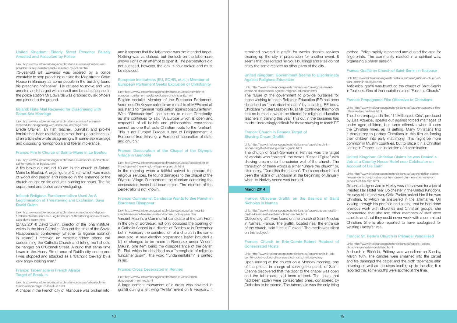remained covered in graffiti for weeks despite services clearing up the city in preparation for another event. It seems that desecrated religious buildings and sites do not enjoy the same respect as other parts of the city.

#### [United Kingdom: Government Seems to Discriminate](http://www.intoleranceagainstchristians.eu/case/government-seems-to-discriminate-against-religious-education.html) [Against Religious Education](http://www.intoleranceagainstchristians.eu/case/government-seems-to-discriminate-against-religious-education.html)

#### Link: http://www.intoleranceagainstchristians.eu/case/governmentseems-to-discriminate-against-religious-education.html

The failure of the government to provide bursaries for those wishing to teach Religious Education (RE) has been described as "rank discrimination" by a leading RE body. Childcare minister Elizabeth Truss MP confirmed this month that no bursaries would be offered for religious education teachers in training this year. This cut in the bursaries has made it increasingly difficult for those studying to teach RE

#### [France: Church in Rennes Target of](http://www.intoleranceagainstchristians.eu/case/church-in-rennes-target-of-shaving-cream-graffiti.html)  [Shaving Cream Graffiti](http://www.intoleranceagainstchristians.eu/case/church-in-rennes-target-of-shaving-cream-graffiti.html)

#### Link: http://www.intoleranceagainstchristians.eu/case/church-inrennes-target-of-shaving-cream-graffiti.html

The church of Saint-Germain in Rennes was the target of vandals who "painted" the words "Raser l'Eglise" with shaving cream onto the exterior wall of the church. The translation of these words is either "Shave the church" or, alternately, "Demolish the church". The same church had been the victim of vandalism at the beginning of January when its Nativity scene was burned.

#### March 2014

#### [France: Obscene Graffiti on the Basilica of Saint](http://www.intoleranceagainstchristians.eu/case/obscene-graffiti-on-the-basilica-of-saint-nicholas-in-nantes.html)  [Nicholas in Nantes](http://www.intoleranceagainstchristians.eu/case/obscene-graffiti-on-the-basilica-of-saint-nicholas-in-nantes.html)

Link: http://www.intoleranceagainstchristians.eu/case/obscene-graffition-the-basilica-of-saint-nicholas-in-nantes.html

Obscene graffiti was found on the church of Saint-Nicolas in Nantes, France. The graffiti, located near the entrance of the church, said "Jesus Fucked." The media was silent on this subject.

#### [France: Church in Brie-Comte-Robert Robbed of](http://www.intoleranceagainstchristians.eu/case/church-in-brie-comte-robert-robbed-of-consecrated-hosts.htmlbservatory)  [Consecrated Hosts](http://www.intoleranceagainstchristians.eu/case/church-in-brie-comte-robert-robbed-of-consecrated-hosts.htmlbservatory)

#### Link: http://www.intoleranceagainstchristians.eu/case/church-in-briecomte-robert-robbed-of-consecrated-hosts.htmlbservatory

Upon arriving at the church on a Monday morning, one of the priests in charge of serving the parish of Saint-Étienne discovered that the door to the chapel was open and the tabernacle had been robbed. The hosts that had been stolen were consecrated ones, considered by Catholics to be sacred. The tabernacle was the only thing

robbed. Police rapidly intervened and dusted the area for fingerprints. The community reacted in a spiritual way, organising a prayer session.

#### [France: Graffiti on Church of Saint-Sernin in Toulouse](http://www.intoleranceagainstchristians.eu/case/graffiti-on-church-of-saint-sernin-in-toulouse.html)

Link: http://www.intoleranceagainstchristians.eu/case/graffiti-on-church-ofsaint-sernin-in-toulouse.html

Anticlerical graffiti was found on the church of Saint-Sernin in Toulouse. One of the inscriptions read "Fuck the Church."

#### [France: Propaganda Film Offensive to Christians](http://www.intoleranceagainstchristians.eu/case/propaganda-film-offensive-to-christians.html)

Link: http://www.intoleranceagainstchristians.eu/case/propaganda-filmoffensive-to-christians.html

Link: http://www.intoleranceagainstchristians.eu/quotation/religiousfundamentalism-used-as-a-legitimisation-of-threatening-and-exclusionsays-david-quinn.html

The short propaganda film, "14 Millions de Cris", produced by Liza Azuelos, speaks out against forced marriages of under aged children, but turns offensive when it uses the Christian milieu as its setting. Many Christians find it derogatory to portray Christians in this film as forcing their children into early matrimony. This might be more common in Muslim countries, but to place it in a Christian setting in France is an indication of discrimination.

#### [United Kingdom: Christian Claims he was Denied a](http://www.intoleranceagainstchristians.eu/case/christian-claims-he-was-denied-a-job-at-a-country-house-hotel-near-colchester-on-account-of-his-faith.html)  [Job at a Country House Hotel near Colchester on](http://www.intoleranceagainstchristians.eu/case/christian-claims-he-was-denied-a-job-at-a-country-house-hotel-near-colchester-on-account-of-his-faith.html)  [Account of His Faith](http://www.intoleranceagainstchristians.eu/case/christian-claims-he-was-denied-a-job-at-a-country-house-hotel-near-colchester-on-account-of-his-faith.html)

Link: http://www.intoleranceagainstchristians.eu/case/christian-claimshe-was-denied-a-job-at-a-country-house-hotel-near-colchester-onaccount-of-his-faith.html

Graphic designer Jamie Haxby was interviewed for a job at Prested Hall Hotel near Colchester in the United Kingdom. He says his interviewer, Celie Parker, asked him if he was Christian, to which he answered in the affirmative. On looking through his portfolio and seeing that he had done previous work with churches and Christian groups, she commented that she and other members of staff were atheists and that they could never work with a committed Christian. She is also reported to have apologized for wasting Haxby's time.

#### [France: St. Peter's Church in Pléhédel Vandalised](http://www.intoleranceagainstchristians.eu/case/st-peters-church-in-plehedel-vandalised.html)

Link: http://www.intoleranceagainstchristians.eu/case/st-peterschurch-in-plehedel-vandalised.html

A church in Pléhédel, Brittany, was vandalised on Sunday, March 16th. The candles were smashed into the carpet and fire damaged the carpet and the cloth tabernacle altar covering as well as the steps leading up to the altar. It is reported that some youths were spotted at the time.

#### [United Kingdom: Elderly Street Preacher Falsely](http://www.intoleranceagainstchristians.eu/case/elderly-street-preacher-falsely-arrested-and-assaulted-by-police.html)  [Arrested and Assaulted by Police](http://www.intoleranceagainstchristians.eu/case/elderly-street-preacher-falsely-arrested-and-assaulted-by-police.html)

#### Link: http://www.intoleranceagainstchristians.eu/case/elderly-streetpreacher-falsely-arrested-and-assaulted-by-police.html

73-year-old Bill Edwards was ordered by a police constable to stop preaching outside the Magistrates Court House in Banbury as some people in the building found his preaching "offensive". He refused to move and was arrested and charged with assault and breach of peace. In the police station Mr Edwards was grabbed by six officers and pinned to the ground.

#### [Ireland: Hate Mail Received for Disagreeing with](http://www.intoleranceagainstchristians.eu/case/hate-mail-received-for-disagreeing-with-same-sex-marriage.html)  [Same-Sex Marriage](http://www.intoleranceagainstchristians.eu/case/hate-mail-received-for-disagreeing-with-same-sex-marriage.html)

Link: http://www.intoleranceagainstchristians.eu/case/hate-mailreceived-for-disagreeing-with-same-sex-marriage.html

Breda O'Brien, an Irish teacher, journalist and pro-life feminist has been receiving hate mail from people because of an article she wrote disagreeing with same-sex marriage and discussing homophobia and liberal intolerance.

#### [France: Fire in Church of Sainte-Marie in Le Boulou](http://www.intoleranceagainstchristians.eu/case/fire-in-church-of-sainte-marie-in-le-boulou.html%20)

Link: http://www.intoleranceagainstchristians.eu/case/fire-in-church-ofsainte-marie-in-le-boulou.html

A fire broke out around 10 am in the church of Sainte-Marie Le Boulou. A large figure of Christ which was made of wood and plaster and installed in the entrance of the church caught on fire and was burning for hours. The fire department and police are investigating.

#### [Ireland: Religious Fundamentalism Used As A](http://www.intoleranceagainstchristians.eu/quotation/religious-fundamentalism-used-as-a-legitimisation-of-threatening-and-exclusion-says-david-quinn.html) [Legitimisation of Threatening and Exclusion, Says](http://www.intoleranceagainstchristians.eu/quotation/religious-fundamentalism-used-as-a-legitimisation-of-threatening-and-exclusion-says-david-quinn.html)  [David Quinn](http://www.intoleranceagainstchristians.eu/quotation/religious-fundamentalism-used-as-a-legitimisation-of-threatening-and-exclusion-says-david-quinn.html)

(27.02.2014) David Quinn, director of the Iona Institute, writes in the Irish Catholic: "Around the time of the Savita Halappanavar controversy [whether to legalise abortion in Ireland] I received an expletive-ridden phone call condemning the Catholic Church and telling me I should be hanged on O'Connell Street. Around that same time I was in the Henry Street area of Dublin city centre and I was stopped and attacked as a 'Catholic toe-rag' by a very angry looking man."

#### [France: Tabernacle in French Alsace](http://www.intoleranceagainstchristians.eu/case/tabernacle-in-french-alsace-target-of-break-in.html)  [Target of Break-in](http://www.intoleranceagainstchristians.eu/case/tabernacle-in-french-alsace-target-of-break-in.html)

Link: http://www.intoleranceagainstchristians.eu/case/tabernacle-infrench-alsace-target-of-break-in.html

A chapel in the French city of Mulhouse was broken into,

and it appears that the tabernacle was the intended target. Nothing was vandalised, but the lock on the tabernacle shows signs of an attempt to open it. The perpetrators did not succeed, however, the lock is now broken and must be replaced.

#### [European Institutions \(EU, ECHR, et.al.\): Member of](http://www.intoleranceagainstchristians.eu/case/member-of-european-parliament-seeks-exclusion-of-christianity.html)  [European Parliament Seeks Exclusion of Christianity](http://www.intoleranceagainstchristians.eu/case/member-of-european-parliament-seeks-exclusion-of-christianity.html)

#### Link: http://www.intoleranceagainstchristians.eu/case/member-ofeuropean-parliament-seeks-exclusion-of-christianity.html

Belgian socialist Member of the European Parliament, Veronique De Keyser called in an e-mail to all MEPs and all assistants for "general mobilisation against obscurantism". With "Obscurantism" she seems to mean Christianity, as she continues to say: "A Europe which is open and respectful of all beliefs and philosophical convictions cannot be one that puts Christian roots to the forefront. This is not Europe! Europe is one of Enlightenment, a Europe of free thinking, a Europe of separation of state and church."

#### [France: Desecration of the Chapel of the Olympic](http://www.intoleranceagainstchristians.eu/case/desecration-of-the-chapel-of-the-olympic-village-in-grenoble.html)  [Village in Grenoble](http://www.intoleranceagainstchristians.eu/case/desecration-of-the-chapel-of-the-olympic-village-in-grenoble.html)

Link: http://www.intoleranceagainstchristians.eu/case/desecration-ofthe-chapel-of-the-olympic-village-in-grenoble.html

In the morning when a faithful arrived to prepare the religious services, he found damages to the chapel of the Olympic Village. Furthermore, the ciborium containing the consecrated hosts had been stolen. The intention of the perpetrator is not known.

#### [France: Communist Candidate Wants to See Parish in](http://www.intoleranceagainstchristians.eu/case/communist-candidate-wants-to-see-parish-in-bordeaux-disappear.html%20)  [Bordeaux Disappear](http://www.intoleranceagainstchristians.eu/case/communist-candidate-wants-to-see-parish-in-bordeaux-disappear.html%20)

Link: http://www.intoleranceagainstchristians.eu/case/communistcandidate-wants-to-see-parish-in-bordeaux-disappear.html Vincent Maurin, a Communist candidate of the Left Front in the city of Bordeaux, not only opposed the opening of a Catholic School in a district of Bordeaux in December but in February the construction of a church in the same area also. A new election propaganda leaflet included a list of changes to be made in Bordeaux under Vincent Maurin, one item being the disappearance of the parish St. Floi, which he described as a "stronghold of religious" fundamentalism". The word "fundamentalism" is printed in red.

#### [France: Cross Desecrated in Rennes](http://www.intoleranceagainstchristians.eu/case/cross-desecrated-in-rennes.html)

Link: http://www.intoleranceagainstchristians.eu/case/crossdesecrated-in-rennes.html

A large cement monument of a cross was covered in graffiti during a left wing "Antifa" event on 8 February. It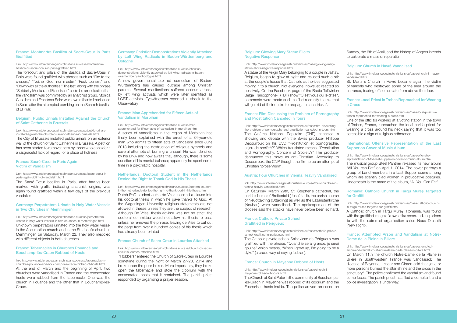#### [Belgium: Glowing Mary Statue Elicits](http://www.intoleranceagainstchristians.eu/case/glowing-mary-statue-elicits-negative-response.html)  [Negative Response](http://www.intoleranceagainstchristians.eu/case/glowing-mary-statue-elicits-negative-response.html)

A statue of the Virgin Mary belonging to a couple in Jalhay, Belgium, began to glow at night and caused such a stir at the couple's house that Catholic authorities suggested moving it to a church. Not everyone, however, reacted so positively. On the Facebook page of the Radio Télévision Belge Francophone (RTBF) show "C'est vous qui le dites", comments were made such as "Let's crucify them…that will get rid of their desire to propagate such tricks".

#### Link: http://www.intoleranceagainstchristians.eu/case/glowing-marystatue-elicits-negative-response.html

#### [France: Film Discussing the Problem of Pornography](http://www.intoleranceagainstchristians.eu/case/film-discussing-the-problem-of-pornography-and-prostitution-canceled-in-tours.html)  [and Prostitution Canceled in Tours](http://www.intoleranceagainstchristians.eu/case/film-discussing-the-problem-of-pornography-and-prostitution-canceled-in-tours.html)

#### Link: http://www.intoleranceagainstchristians.eu/case/film-discussingthe-problem-of-pornography-and-prostitution-canceled-in-tours.html

The Cinéma National Populaire (CNP) canceled a showing and debate with the Swiss producer Philippe Decourroux on his DVD "Prostitution et pornographie, enjeu de société?" Which translated means, "Prostitution and Pornography, Concern of Society?" The producer denounced this move as anti-Christian. According to Decourroux, the CNP thought the film to be an attempt of Christian "proselytism".

#### [Austria: Four Churches in Vienna Heavily Vandalised](http://www.intoleranceagainstchristians.eu/case/four-churches-in-vienna-heavily-vandalised.html)

#### link: http://www.intoleranceagainstchristians.eu/case/four-churches-invienna-heavily-vandalised.html

On Saturday, March 29th, St. Stephen's cathedral, the parish church of Breitenfeld (Josefstadt), the parish church of Neuottakring (Ottakring) as well as the Lazaristenkirche (Neubau) were vandalised. The spokesperson of the diocese said the attacks have never before been so hard.

#### [France: Catholic Private School](http://www.intoleranceagainstchristians.eu/case/catholic-private-school-graffitied-in-perigueux.html%20)  [Graffitied in Périgueux](http://www.intoleranceagainstchristians.eu/case/catholic-private-school-graffitied-in-perigueux.html%20)

#### Link: http://www.intoleranceagainstchristians.eu/case/catholic-privateschool-graffitied-in-perigueux.html

The Catholic private school Saint-Jean de Périgueux was graffitied with the phrase, "Quand je serai grande, je serai gouine" which means, "When I grow up, I'm going to be a dyke" (a crude way of saying lesbian).

#### [France: Church in Mayenne Robbed of Hosts](http://www.intoleranceagainstchristians.eu/case/church-in-mayenne-robbed-of-hosts.html)

Link: http://www.intoleranceagainstchristians.eu/case/church-inmayenne-robbed-of-hosts.html

#### [France: Montmartre Basilica of Sacré-Cœur in Paris](http://www.intoleranceagainstchristians.eu/case/montmartre-basilica-of-sacre-coeur-in-paris-graffitied.html)  **[Graffitied](http://www.intoleranceagainstchristians.eu/case/montmartre-basilica-of-sacre-coeur-in-paris-graffitied.html)**

The Church of Saint Peter in the community of Bouchampslès-Craon in Mayenne was robbed of its ciborium and the Eucharistic hosts inside. The police arrived on scene on Sunday, the 6th of April, and the bishop of Angers intends to celebrate a mass of reparatio

#### [Belgium: Church in Havré Vandalised](http://www.intoleranceagainstchristians.eu/case/church-in-havre-vandalised.html)

Link: http://www.intoleranceagainstchristians.eu/case/church-in-havrevandalised.html

St. Martin's Church in Havré became again the victim of vandals who destroyed some of the area around the entrance, tearing off some slate from above the door.

#### [France: Local Priest in Trèbes Reproached for Wearing](http://www.intoleranceagainstchristians.eu/case/local-priest-in-trebes-reproached-for-wearing-a-cross.html)  [a Cross](http://www.intoleranceagainstchristians.eu/case/local-priest-in-trebes-reproached-for-wearing-a-cross.html)

Link: http://www.intoleranceagainstchristians.eu/case/local-priest-intrebes-reproached-for-wearing-a-cross.html

One of the officials working at a voting station in the town of Trèbes, France, reproached the local parish priest for wearing a cross around his neck saying that it was too ostensible a sign of religious adherence.

Link: http://www.intoleranceagainstchristians.eu/case/perpetratorsurinate-in-holy-water-vessels-in-two-churches-in-memmingen.html Unknown perpetrators urinated into the holy water vessel in the Assumption church and in the St. Josef's church in Memmingen on Saturday, March 22. They also meddled with different objects in both churches.

#### [International: Offensive Representation of the Last](http://www.intoleranceagainstchristians.eu/case/offensive-representation-of-the-last-supper-on-cover-of-music-album.html)  [Supper on Cover of Music Album](http://www.intoleranceagainstchristians.eu/case/offensive-representation-of-the-last-supper-on-cover-of-music-album.html)

Link: http://www.intoleranceagainstchristians.eu/case/offensiverepresentation-of-the-last-supper-on-cover-of-music-album.html

#### [Germany: Christian Demonstrations Violently Attacked](http://www.intoleranceagainstchristians.eu/case/christian-demonstrations-violently-attacked-by-left-wing-radicals-in-baden-wuerttemberg-and-cologne.html)  [by Left Wing Radicals in Baden-Württemberg and](http://www.intoleranceagainstchristians.eu/case/christian-demonstrations-violently-attacked-by-left-wing-radicals-in-baden-wuerttemberg-and-cologne.html)  **[Cologne](http://www.intoleranceagainstchristians.eu/case/christian-demonstrations-violently-attacked-by-left-wing-radicals-in-baden-wuerttemberg-and-cologne.html)**

The musical group Steel Panther released its new album "All You can Eat" on April 1, 2014. The cover portrays a group of band members in a Last Supper scene among whom are scantily clad women in provocative postures. Underneath is the name of the album, "All You Can Eat"

A new governmental sex ed curriculum of Baden-Württemberg has caused outrage among Christian parents. Several manifestions suffered serious attacks by left wing activists which were later identified as LGBT activists. Eyewitnesses reported in shock to the **Observatory** 

#### [Romania: Catholic Church in Târgu Mure](http://www.intoleranceagainstchristians.eu/case/catholic-church-in-targu-mures-targeted-for-graffiti.html)ş Targeted [for Graffiti](http://www.intoleranceagainstchristians.eu/case/catholic-church-in-targu-mures-targeted-for-graffiti.html)

Link: http://www.intoleranceagainstchristians.eu/case/catholic-churchin-targu-mures-targeted-for-graffiti.html

A Catholic church in Târgu Mureş, Romania, was found with the graffitied image of a swastika cross and suspicions lie with the extremist organisation called Noua Dreaptă (New Right).

#### [France: Attempted Arson and Vandalism at Notre-](http://www.intoleranceagainstchristians.eu/case/attempted-arson-and-vandalism-at-notre-dame-de-la-plaine-in-billere.html)[Dame de la Plaine in Billere](http://www.intoleranceagainstchristians.eu/case/attempted-arson-and-vandalism-at-notre-dame-de-la-plaine-in-billere.html)

Link: http://www.intoleranceagainstchristians.eu/case/attemptedarson-and-vandalism-at-notre-dame-de-la-plaine-in-billere.html

On March 11th the church Notre-Dame de la Plaine in Billère in Southwestern France was vandalised: The diocese of Bayonne, Lescar and Oloron said that "one or more persons burned the altar shrine and the cross in the sanctuary". The police confirmed the vandalism and found some feces. The parish priest has filed a complaint and a police investigation is underway.

#### Link: http://www.intoleranceagainstchristians.eu/case/montmartrebasilica-of-sacre-coeur-in-paris-graffitied.html

The forecourt and pillars of the Basilica of Sacré-Cœur in Paris were found graffitied with phrases such as "Fire to the chapels," "Neither God, nor master," "Fuck tourism," and "Down with all the authorities." The last, along with the phrase "Solidarity Monica and Francisco," could be an indication that the vandalism was committed by an anarchist group. Monica Caballero and Francisco Solar were two militants imprisoned in Spain after the attempted bombing on the Spanish basilica of El Pilar.

#### [Belgium: Public Urinals Installed Against the Church](http://www.intoleranceagainstchristians.eu/case/public-urinals-installed-against-the-church-of-saint-catherine-in-brussels.html)  [of Saint Catherine in Brussels](http://www.intoleranceagainstchristians.eu/case/public-urinals-installed-against-the-church-of-saint-catherine-in-brussels.html)

#### Link: http://www.intoleranceagainstchristians.eu/case/public-urinalsinstalled-against-the-church-of-saint-catherine-in-brussels.html

The City of Brussels installed public urinals on an exterior wall of the church of Saint Catherine in Brussels. A petition has been started to remove them by those who consider it a disgraceful lack of regard for a place of holiness.

#### [France: Sacré-Cœur in Paris Again](http://www.intoleranceagainstchristians.eu/case/sacre-coeur-in-paris-again-victim-of-vandalsim.html)  [Victim of Vandalism](http://www.intoleranceagainstchristians.eu/case/sacre-coeur-in-paris-again-victim-of-vandalsim.html)

#### Link: http://www.intoleranceagainstchristians.eu/case/sacre-coeur-inparis-again-victim-of-vandalsim.html

The Sacré-Cœur basilica in Paris, after having been marked with graffiti indicating anarchist origins, was again found graffitied within a few days of the previous vandalism.

#### [Germany: Perpetrators Urinate in Holy Water Vessels](http://www.intoleranceagainstchristians.eu/case/perpetrators-urinate-in-holy-water-vessels-in-two-churches-in-memmingen.html)  [in Two Churches in Memmingen](http://www.intoleranceagainstchristians.eu/case/perpetrators-urinate-in-holy-water-vessels-in-two-churches-in-memmingen.html)

#### [France: Tabernacles in Churches Pouancé and](http://www.intoleranceagainstchristians.eu/case/tabernacles-in-churches-pouance-and-bouchamp-les-craon-robbed-of-hosts.html)  [Bouchamp-lès-Craon Robbed of Hosts](http://www.intoleranceagainstchristians.eu/case/tabernacles-in-churches-pouance-and-bouchamp-les-craon-robbed-of-hosts.html)

link: http://www.intoleranceagainstchristians.eu/case/tabernacles-inchurches-pouance-and-bouchamp-les-craon-robbed-of-hosts.html At the end of March and the beginning of April, two churches were vandalised in France and the consecrated hosts were robbed from the tabernacle. One was the church in Pouancé and the other that in Bouchamp-lès-Craon.

Link: http://www.intoleranceagainstchristians.eu/case/christiandemonstrations-violently-attacked-by-left-wing-radicals-in-badenwuerttemberg-and-cologne.html

#### [France: Man Apprehended for Fifteen Acts of](http://www.intoleranceagainstchristians.eu/case/man-apprehended-for-fifteen-acts-of-vandalism-in-morbihan.html)  [Vandalism in Morbihan](http://www.intoleranceagainstchristians.eu/case/man-apprehended-for-fifteen-acts-of-vandalism-in-morbihan.html)

Link: http://www.intoleranceagainstchristians.eu/case/manapprehended-for-fifteen-acts-of-vandalism-in-morbihan.html

A series of vandalisms in the region of Morbihan has finally been explained with the arrest of a 34-year-old man who admits to fifteen acts of vandalism since June 2013 including the destruction of religious symbols and several attempts at burning a chapel. He was identified by his DNA and now awaits trial, although, there is some question of his mental balance; apparently he spent some time in a psychiatric hospital.

#### [Netherlands: Doctoral Student in the Netherlands](http://www.intoleranceagainstchristians.eu/case/doctoral-student-in-the-netherlands-denied-the-right-to-thank-god-in-his-thesis.html)  [Denied the Right to Thank God in His Thesis](http://www.intoleranceagainstchristians.eu/case/doctoral-student-in-the-netherlands-denied-the-right-to-thank-god-in-his-thesis.html)

Link: http://www.intoleranceagainstchristians.eu/case/doctoral-studentin-the-netherlands-denied-the-right-to-thank-god-in-his-thesis.html Dutch PhD student Jerke de Vries inserted a clause into his doctoral thesis in which he gave thanks to God. At the Wageningen University, religious statements are not allowed in theses unless they are the subject of research. Although De Vries' thesis advisor was not so strict, the doctoral committee would not allow his thesis to pass unless he removed the phrase, leaving de Vries to cut out the page from over a hundred copies of his thesis which had already been printed

#### [France: Church of Sacré-Cœur in Lourdes Attacked](http://www.intoleranceagainstchristians.eu/case/church-of-sacre-coeur-in-lourdes-attacked.html)

#### Link: http://www.intoleranceagainstchristians.eu/case/church-of-sacrecoeur-in-lourdes-attacked.html

"Robbers" entered the Church of Sacré-Cœur in Lourdes sometime during the night of March 27-28, 2014 and broke open the poor boxes. More importantly, they broke open the tabernacle and stole the ciborium with the consecrated hosts that it contained. The parish priest responded by organising a prayer session.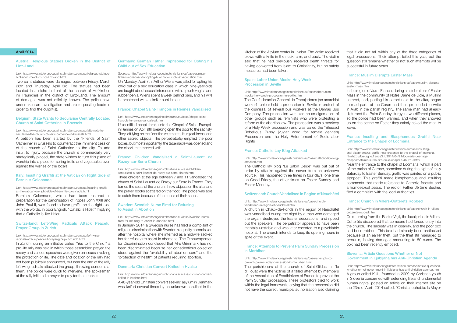kitchen of the Asylum center in Hvalsø. The victim received blows with a knife in the neck, arm, and back. The victim said that he had previously received death threats for having converted from Islam to Christianity, but no safety measures had been taken.

The Confederación General de Trabajadores (an anarchist worker's union) held a procession in Seville in protest of the dismissal of several bus workers at the Damas Bus Company. The procession was also an amalgamation of other groups such as feminists who were protesting a reform of the abortion law. The procession was a mockery of a Holy Week procession and was called the "Blessed Rebellious Pussy (vulgar word for female genitals) Procession and the Holy Entombment of Socio-labor **Rights** 

#### [Spain: Labor Union Mocks Holy Week](http://www.intoleranceagainstchristians.eu/case/labor-union-mocks-holy-week-procession-in-seville.html)  [Procession in Seville](http://www.intoleranceagainstchristians.eu/case/labor-union-mocks-holy-week-procession-in-seville.html)

#### Link: http://www.intoleranceagainstchristians.eu/case/labor-unionmocks-holy-week-procession-in-seville.html

#### [France: Catholic Lay Blog Attacked](http://www.intoleranceagainstchristians.eu/case/catholic-lay-blog-attacked.html)

#### Link: http://www.intoleranceagainstchristians.eu/case/catholic-lay-blogattacked.html

The Catholic lay blog "Le Salon Beige" was put out of order by attacks against the server from an unknown source. This happened three times in four days, one time on Good Friday, the other times on Easter Sunday and Easter Monday.

#### [Switzerland: Church Vandalised in Region of Neuchâtel](http://www.intoleranceagainstchristians.eu/case/church-vandalised-in-region-of-neuchatel.html)

#### Link: http://www.intoleranceagainstchristians.eu/case/churchvandalised-in-region-of-neuchatel.html

A church in Chaux-de-Fonds in the region of Neuchâtel was vandalised during the night by a man who damaged the organ, destroyed the Easter decorations, and ripped out the speakers. The perpetrator appears to have been mentally unstable and was later escorted to a psychiatric hospital. The church intends to keep its opening hours in spite of the event.

#### [France: Attempts to Prevent Palm Sunday Precession](http://www.intoleranceagainstchristians.eu/case/attempts-to-prevent-palm-sunday-precession-in-morbihan.html) [in Morbihan](http://www.intoleranceagainstchristians.eu/case/attempts-to-prevent-palm-sunday-precession-in-morbihan.html)

#### Link: http://www.intoleranceagainstchristians.eu/case/attempts-toprevent-palm-sunday-precession-in-morbihan.html

The parishioners of the church of Saint-Gildas in l'île d'Houat were the victims of a failed attempt by members of the Association of Freethinkers of France to prevent the Palm Sunday procession. These protestors tried to work within the legal framework, saying that the procession did not have the correct municipal authorisation also claiming

that it did not fall within any of the three categories of legal processions. Their attempt failed this year, but the question still remains whether or not such attempts will be successful in future years.

#### [France: Muslim Disrupts Easter Mass](http://www.intoleranceagainstchristians.eu/case/muslim-disrupts-easter-mass.html)

Link: http://www.intoleranceagainstchristians.eu/case/muslim-disruptseaster-mass.html

In the region of Jura, France, during a celebration of Easter Mass in the community of Notre Dame de Dole, a Muslim entered, and, putting his carpet next to the altar, began to read parts of the Coran and then proceeded to write in Arab in the parish registry. The same man had already disturbed the Palm Sunday liturgy in two different places, so the police had been warned, and when they showed up on the scene on Easter they calmly asked the man to leave.

#### Italy: Insulting Graffiti at the Vatican on Right Side of [Bernini's Colonnade](http://www.intoleranceagainstchristians.eu/case/insulting-graffiti-at-the-vatican-on-right-side-of-berninis-colonnade.html)

#### [France: Insulting and Blasphemous Graffiti Near](http://www.intoleranceagainstchristians.eu/case/insulting-and-blasphemous-graffiti-near-entrance-to-the-chapel-of-locmaria.htmlhttp://bretagne.france3.fr/2014/04/21/locmaria-des-tags-blasphematoires-sur-le-site-de-la-chapelle-463619.html)  [Entrance to the Chapel of Locmaria](http://www.intoleranceagainstchristians.eu/case/insulting-and-blasphemous-graffiti-near-entrance-to-the-chapel-of-locmaria.htmlhttp://bretagne.france3.fr/2014/04/21/locmaria-des-tags-blasphematoires-sur-le-site-de-la-chapelle-463619.html)

Link: http://www.intoleranceagainstchristians.eu/case/insultingand-blasphemous-graffiti-near-entrance-to-the-chapel-of-locmaria. htmlhttp://bretagne.france3.fr/2014/04/21/locmaria-des-tagsblasphematoires-sur-le-site-de-la-chapelle-463619.html

Near the entrance to the chapel of Locmaria, which is part of the parish of Carnac, sometime during the night of Holy Saturday to Easter Sunday, graffiti was painted on a public signpost. This graffiti made blasphemous and insulting comments that made reference to Catholic fascists and a homosexual Jesus. The rector, Father Jérôme Sécher, filed a complaint with the local authorities.

#### [France: Church in Villers-Cotterêts Robbed](http://www.intoleranceagainstchristians.eu/case/church-in-villers-cotterets-robbed.html)

Link: http://www.intoleranceagainstchristians.eu/case/church-in-villerscotterets-robbed.html

On returning from the Easter Vigil, the local priest in Villers-Cotterêts discovered that someone had forced entry into the church. The sacristy was in disarray, and the poor box had been robbed. This box had already been padlocked because of an earlier theft, but the thief still managed to break in, leaving damages amounting to 80 euros. The box had been recently emptied.

#### [Slovenia: Article Questions Whether or Not](http://www.intoleranceagainstchristians.eu/case/article-questions-whether-or-not-government-in-ljubljana-has-anti-christian-agenda.html)  [Government in Ljubljana has Anti-Christian Agenda](http://www.intoleranceagainstchristians.eu/case/article-questions-whether-or-not-government-in-ljubljana-has-anti-christian-agenda.html)

Link: http://www.intoleranceagainstchristians.eu/case/article-questionswhether-or-not-government-in-ljubljana-has-anti-christian-agenda.html A group called KUL, founded in 2009 by Christian youth in Slovenia concerned with defending life and fundamental human rights, posted an article on their internet site on the 23rd of April, 2014 called, "Christianophobia: Is Mayor

#### April 2014

#### [Austria: Religious Statues Broken in the District of](http://www.intoleranceagainstchristians.eu/case/religious-statues-broken-in-the-district-of-linz-land.html)  [Linz-Land](http://www.intoleranceagainstchristians.eu/case/religious-statues-broken-in-the-district-of-linz-land.html)

#### Link: http://www.intoleranceagainstchristians.eu/case/religious-statuesbroken-in-the-district-of-linz-land.html

Two saint statues were damaged between Friday, March 28th and Thursday, April 3rd. The statues had been located in a niche in front of the church of Hofkirchen im Traunkreis in the district of Linz-Land. The amount of damages was not officially known. The police have undertaken an investigation and are requesting leads in order to find the culprit(s).

#### [Belgium: State Wants to Secularise Centrally Located](http://www.intoleranceagainstchristians.eu/case/attempts-to-secularise-the-church-of-saint-catherine-in-brussels.html)  [Church of Saint Catherine in Brussels](http://www.intoleranceagainstchristians.eu/case/attempts-to-secularise-the-church-of-saint-catherine-in-brussels.html)

#### Link: http://www.intoleranceagainstchristians.eu/case/attempts-tosecularise-the-church-of-saint-catherine-in-brussels.html

A petition has been started by the "Friends of Saint Catherine" in Brussels to counteract the imminent cession of the church of Saint Catherine to the city. To add insult to injury, because the church is commercially very strategically placed, the state wishes to turn this place of worship into a place for selling fruits and vegetables even against the wishes of the locals.

#### Link: http://www.intoleranceagainstchristians.eu/case/insulting-graffitiat-the-vatican-on-right-side-of-berninis-colonnade.html

Bernini's Colonnade, which had been restored in preparation for the canonisation of Popes John XXIII and John Paul II, was found to have graffiti on the right side with the words, in poor English, "Catalic is Hitler." Implying that a Catholic is like Hitler.

#### [Switzerland: Left-Wing Radicals Attack Peaceful](http://www.intoleranceagainstchristians.eu/case/left-wing-radicals-attack-peaceful-prayer-group-in-zurich.html)  [Prayer Group in Zurich](http://www.intoleranceagainstchristians.eu/case/left-wing-radicals-attack-peaceful-prayer-group-in-zurich.html)

#### Link: http://www.intoleranceagainstchristians.eu/case/left-wingradicals-attack-peaceful-prayer-group-in-zurich.html

In Zurich, during an initiative called "Yes to the Child," a pro-life rally was held in which those assembled prayed the rosary and various speeches were given on issues involving the protection of life. The date and location of the rally had not been publically announced, but near the end of the rally left-wing radicals attacked the group, throwing condoms at them. The police were quick to intervene. The spokesman at the rally initiated a prayer to pray for the attackers

#### [Germany: German Father Imprisoned for Opting his](http://www.intoleranceagainstchristians.eu/case/german-father-imprisoned-for-opting-his-child-out-of-sex-education.html)  [Child out of Sex Education](http://www.intoleranceagainstchristians.eu/case/german-father-imprisoned-for-opting-his-child-out-of-sex-education.html)

Sources: http://www.intoleranceagainstchristians.eu/case/germanfather-imprisoned-for-opting-his-child-out-of-sex-education.html On Monday, April 7th, Arthur Wiens was jailed for opting his child out of a sex education class in which nine-year-olds are taught about sexual intercourse with a plush vagina and rubber penis. Wiens spent a week behind bars, and his wife is threatened with a similar punishment.

#### [France: Chapel Saint-François in Rennes Vandalised](http://www.intoleranceagainstchristians.eu/case/chapel-saint-francois-in-rennes-vandalised.html)

#### Link: http://www.intoleranceagainstchristians.eu/case/chapel-saintfrancois-in-rennes-vandalised.html

Unidentified people broke into the Chapel of Saint- François in Rennes on April 9th breaking open the door to the sacristy. They left lying on the floor the vestments, liturgical linens, and other sacred objects. The perpetrator(s) emptied the poor boxes, but most importantly, the tabernacle was opened and the ciborium tampered with.

#### [France: Children Vandalized a Saint-Laurent de](http://www.intoleranceagainstchristians.eu/case/children-vandalized-a-saint-laurent-de-rozoy-sur-serre-church.html)  [Rozoy-sur-Serre Church](http://www.intoleranceagainstchristians.eu/case/children-vandalized-a-saint-laurent-de-rozoy-sur-serre-church.html)

Link: http://www.intoleranceagainstchristians.eu/case/childrenvandalized-a-saint-laurent-de-rozoy-sur-serre-church.html Three children at the age between 7 and 11 vandalized the church of Saint-Laurent de Rozoy-sur-Serre in France. They turned the seats of the church, threw objects on the altar and the prayer books scattered on the floor. The police was able to catch them because of the traces of their shoes.

#### [Sweden: Swedish Nurse Fired for Refusing](http://www.intoleranceagainstchristians.eu/case/swedish-nurse-fired-for-refusing-to-assist-in-abortion.html)  [to Assist in Abortion](http://www.intoleranceagainstchristians.eu/case/swedish-nurse-fired-for-refusing-to-assist-in-abortion.html)

#### Link: http://www.intoleranceagainstchristians.eu/case/swedish-nursefired-for-refusing-to-assist-in-abortion.html

In January 2014 a Swedish nurse has filed a complaint of religious discrimination with Sweden's equality commission after the hospital where she interned as a midwife sacked her for refusing to assist in abortions. The Ombudsperson for Discrimination concluded that Mrs Grimmark has not been discriminated because her conscientious objection stood against the "availability of abortion care" and the "protection of health" of patients requiring abortion.

#### [Denmark: Christian Convert Knifed in Hvalsø](http://www.intoleranceagainstchristians.eu/case/christian-convert-knifed-in-hvalsoe.html)

Link: http://www.intoleranceagainstchristians.eu/case/christian-convertknifed-in-hvalsoe.html

A 48-year-old Christian convert seeking asylum in Denmark was knifed several times by an unknown assailant in the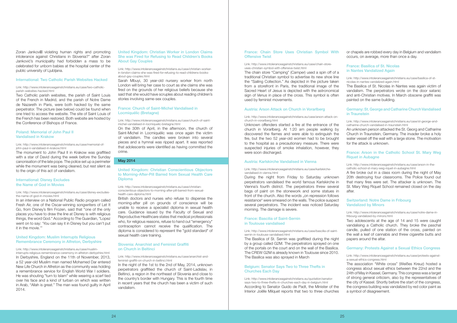#### [France: Chain Store Uses Christian Symbol With](http://www.intoleranceagainstchristians.eu/case/chain-store-uses-christian-symbol-with-offensive-twist.html) [Offensive Twist](http://www.intoleranceagainstchristians.eu/case/chain-store-uses-christian-symbol-with-offensive-twist.html)

#### Link: http://www.intoleranceagainstchristians.eu/case/chain-storeuses-christian-symbol-with-offensive-twist.html

The chain store "Camping" (Camper) used a spin off of a traditional Christian symbol to advertise its new shoe line the "Sailing Collection." As depicted in the picture taken from a storefront in Paris, the traditional image of the Sacred Heart of Jesus is depicted with the astronomical sign of Venus in place of the cross. This symbol is often used by feminist movements.

#### [Austria: Arson Attack on Church in Vorarlberg](http://www.intoleranceagainstchristians.eu/case/arson-attack-on-church-in-vorarlberg.html)

#### Link: http://www.intoleranceagainstchristians.eu/case/arson-attack-onchurch-in-vorarlberg.html

Unknown offenders started a fire at the entrance of the church in Vorarlberg. At 1:20 am people walking by discovered the flames and were able to extinguish the fire, but the two 52 year-old women had to be brought to the hospital as a precautionary measure. There were suspected injuries of smoke inhalation, however, they were soon discharged.

#### [Austria: Karlskirche Vandalised in Vienna](http://www.intoleranceagainstchristians.eu/case/karlskirche-vandalised-in-vienna.html)

#### Link: http://www.intoleranceagainstchristians.eu/case/karlskirchevandalised-in-vienna.html

During the night from Friday to Saturday unknown perpetrators vandalised the world famous Karlskirche in Vienna's fourth district. The perpetrators threw several bags of paint on the stonework and some statues in front of the church. Also the words "on repression follows" resistance" were smeared on the walls. The police suspect several perpetrators. The incident was noticed Saturday morning. The damage is severe.

#### [France: Bascilia of Saint-Sernin](http://www.intoleranceagainstchristians.eu/case/bascilia-of-saint-sernin-in-toulouse-vandalised.html)  [in Toulouse vandalised](http://www.intoleranceagainstchristians.eu/case/bascilia-of-saint-sernin-in-toulouse-vandalised.html)

#### Link: http://www.intoleranceagainstchristians.eu/case/bascilia-of-saintsernin-in-toulouse-vandalised.html

The Basilica of St. Sernin was graffitied during the night by a group called G2M. The perpetrators sprayed on one of the portals on the court and on the wall of the Basilica. The CREW G2M is already known in Toulouse since 2010. The Basilica was also sprayed in March

#### [Belgium: Senator Says Two to Three Thefts in](http://www.intoleranceagainstchristians.eu/quotation/senator-says-two-to-three-thefts-in-churches-each-day-in-belgium.html)  [Churches Each Day](http://www.intoleranceagainstchristians.eu/quotation/senator-says-two-to-three-thefts-in-churches-each-day-in-belgium.html)

Link: http://www.intoleranceagainstchristians.eu/quotation/senatorsays-two-to-three-thefts-in-churches-each-day-in-belgium.html According to Senator Guido de Padt, the Minister of the Interior Joëlle Milquet reports that two to three churches or chapels are robbed every day in Belgium and vandalism occurs, on average, more than once a day.

Zoran Jankovi violating human rights and promoting intolerance against Christians in Slovenia?" after Zoran Janković's municipality had forbidden a mass to be celebrated for unborn babies at the hospital center of the public university of Ljubljana.

#### [France: Basilica of St. Nicolas](http://www.intoleranceagainstchristians.eu/case/basilica-of-st-nicolas-in-nantes-vandalized-again.html)  [in Nantes Vandalized Again](http://www.intoleranceagainstchristians.eu/case/basilica-of-st-nicolas-in-nantes-vandalized-again.html)

Link: http://www.intoleranceagainstchristians.eu/case/basilica-of-stnicolas-in-nantes-vandalized-again.html

The Basilica of St. Nicolas in Nantes was again victim of vandalism. The perpetrators wrote on the door satanic and anti-Christian motives. In March obscene graffiti was painted on the same building.

#### [Germany: St. George and Catharine Church Vandalised](http://www.intoleranceagainstchristians.eu/case/st-george-and-catharine-church-vandalised-in-traunstein.html)  [in Traunstein](http://www.intoleranceagainstchristians.eu/case/st-george-and-catharine-church-vandalised-in-traunstein.html)

Link: http://www.intoleranceagainstchristians.eu/case/st-george-andcatharine-church-vandalised-in-traunstein.html

An unknown person attacked the St. Georg and Catharine Church in Traunstein, Germany. The invader broke a holy water vessel off the wall with a large stone. The motivation for the attack is unknown.

#### [France: Arson in the Catholic School St. Mary Weg](http://www.intoleranceagainstchristians.eu/case/arson-in-the-catholic-school-st-mary-weg-riquet-in-aubagne.html)  [Riquet in Aubagne](http://www.intoleranceagainstchristians.eu/case/arson-in-the-catholic-school-st-mary-weg-riquet-in-aubagne.html)

Link: http://www.intoleranceagainstchristians.eu/case/arson-in-thecatholic-school-st-mary-weg-riquet-in-aubagne.html

A fire broke out in a class room during the night of May 20th destroying four classrooms. The Police found out that many fires were set. The attacker is unknown. The St. Mary Weg Riquet School remained closed on the day after.

#### [Switzerland: Notre Dame in Fribourg](http://www.intoleranceagainstchristians.eu/case/notre-dame-in-fribourg-vandalized-by-minors.html)  [Vandalized by Minors](http://www.intoleranceagainstchristians.eu/case/notre-dame-in-fribourg-vandalized-by-minors.html)

Link: http://www.intoleranceagainstchristians.eu/case/notre-dame-infribourg-vandalized-by-minors.html

Two adolescents at the age of 14 and 15 were caught vandalising a Catholic church. They broke the paschal candle, pulled of one station of the cross, painted on the wall a leaf of cannabis and threw cigarette butts and papers around the altar.

#### [Germany: Protests Against a Sexual Ethics Congress](http://www.intoleranceagainstchristians.eu/case/protests-against-a-sexual-ethics-congress.html)

Link: http://www.intoleranceagainstchristians.eu/case/protests-againsta-sexual-ethics-congress.html

The association "White cross" (Weißes Kreuz) hosted a congress about sexual ethics between the 22nd and the 24th of May in Kassel, Germany. This congress was a target of strong general criticism, also by the representatives of the city of Kassel. Shortly before the start of the congress, the congress building was vandalized by red color paint as a symbol of disagreement.

#### [International: Two Catholic Parish Websites Hacked](http://www.intoleranceagainstchristians.eu/case/two-catholic-parish-websites-hacked.html)

#### Link: http://www.intoleranceagainstchristians.eu/case/two-catholicparish-websites-hacked.html

Two Catholic parish websites, the parish of Saint Louis of the French in Madrid, and the parish of Notre Dame de Nazareth in Paris, were both hacked by the same perpetrator. The picture (see below) could be found when one tried to access the website. The site of Saint Louis of the French has been restored. Both website are hosted by the Conference of Bishops of France.

#### [Poland: Memorial of John Paul II](http://www.intoleranceagainstchristians.eu/case/memorial-of-john-paul-ii-vandalised-in-krakow.html) [Vandalised in Krakow](http://www.intoleranceagainstchristians.eu/case/memorial-of-john-paul-ii-vandalised-in-krakow.html)

#### Link: http://www.intoleranceagainstchristians.eu/case/memorial-ofjohn-paul-ii-vandalised-in-krakow.html

The monument to John Paul II in Krakow was graffitied with a star of David during the week before the Sunday canonisation of the late pope. The police set up a perimeter while the monument was being cleaned, but rest silent as to the origin of this act of vandalism.

#### [International: Disney Excludes](http://www.intoleranceagainstchristians.eu/case/disney-excludes-the-name-of-god-in-movies.html)  [the Name of God in Movies](http://www.intoleranceagainstchristians.eu/case/disney-excludes-the-name-of-god-in-movies.html)

#### Link: http://www.intoleranceagainstchristians.eu/case/disney-excludesthe-name-of-god-in-movies.html

In an interview on a National Public Radio program called Fresh Air, one of the Oscar-winning songwriters of Let It Go, from Disney's film Frozen, said that "one of the only places you have to draw the line at Disney is with religious things, the word God." According to The Guardian, "Lopez went on to say: 'You can say it in Disney but you can't put it in the movie.'"

#### [United Kingdom: Muslim Interrupts Religious](http://www.intoleranceagainstchristians.eu/case/muslim-interrupts-religious-remembrance-ceremony-in-alfreton-derbyshire.html)  [Remembrance Ceremony in Alfreton, Derbyshire](http://www.intoleranceagainstchristians.eu/case/muslim-interrupts-religious-remembrance-ceremony-in-alfreton-derbyshire.html)

#### Link: http://www.intoleranceagainstchristians.eu/case/musliminterrupts-religious-remembrance-ceremony-in-alfreton-derbyshire.html In Derbyshire, England on the 11th of November, 2013, a 52 year-old Muslim man named Mohamed Dar entered New Life Church in Alfreton as the community was holding a remembrance service for English World War I soldiers. He was shouting "turn to Islam" while wearing a scarf tied over his face and a kind of turban on which was written in Arab, "Allah is great." The man was found guilty in April 2014.

#### [United Kingdom: Christian Worker in London Claims](http://www.intoleranceagainstchristians.eu/case/christian-worker-in-london-claims-she-was-fired-for-refusing-to-read-childrens-books-about-gay-couples.html)  [She was Fired for Refusing to Read Children's Books](http://www.intoleranceagainstchristians.eu/case/christian-worker-in-london-claims-she-was-fired-for-refusing-to-read-childrens-books-about-gay-couples.html)  [About Gay Couples](http://www.intoleranceagainstchristians.eu/case/christian-worker-in-london-claims-she-was-fired-for-refusing-to-read-childrens-books-about-gay-couples.html)

Link: http://www.intoleranceagainstchristians.eu/case/christian-workerin-london-claims-she-was-fired-for-refusing-to-read-childrens-booksabout-gay-couples.html

Sarah Mbuyi, 30 year-old nursery worker from north London will bring her case to court as she claims she was fired on the grounds of her religious beliefs because she said that she would have scruples about reading children's stories involving same-sex couples.

#### [France: Church of Saint-Michel Vandalised in](http://www.intoleranceagainstchristians.eu/case/church-of-saint-michel-vandalised-in-locmiquelic-bretagne.html)  [Locmiquélic \(Bretagne\)](http://www.intoleranceagainstchristians.eu/case/church-of-saint-michel-vandalised-in-locmiquelic-bretagne.html)

#### Link: http://www.intoleranceagainstchristians.eu/case/church-of-saintmichel-vandalised-in-locmiquelic-bretagne.html

On the 30th of April, in the afternoon, the church of Saint-Michel in Locmiquélic was once again the victim of vandalism. The candles were broken into several pieces and a hymnal was ripped apart. It was reported that adolescents were identified as having committed the crime.

#### May 2014

#### [United Kingdom: Christian Conscientious Objectors](http://www.intoleranceagainstchristians.eu/case/christian-conscientious-objectors-to-morning-after-pill-barred-from-sexual-health-care-diploma.html)  [to Morning-After-Pill Barred from Sexual Health Care](http://www.intoleranceagainstchristians.eu/case/christian-conscientious-objectors-to-morning-after-pill-barred-from-sexual-health-care-diploma.html)  [Diploma](http://www.intoleranceagainstchristians.eu/case/christian-conscientious-objectors-to-morning-after-pill-barred-from-sexual-health-care-diploma.html)

Link: http://www.intoleranceagainstchristians.eu/case/christianconscientious-objectors-to-morning-after-pill-barred-from-sexualhealth-care-diploma.html

British doctors and nurses who refuse to dispense the morning-after pill on grounds of conscience will be unable to receive a specialist diploma in sexual health care. Guidance issued by the Faculty of Sexual and Reproductive Healthcare states that medical professionals who, for religious reasons, refuse to hand out "emergency" contraception cannot receive the qualification. The diploma is considered to represent the "gold standard" of sexual health care training.

#### [Slovenia: Anarchist and Feminist Graffiti](http://www.intoleranceagainstchristians.eu/case/anarchist-and-feminist-graffiti-on-church-in-beltinci.html)  [on Church in Beltinci](http://www.intoleranceagainstchristians.eu/case/anarchist-and-feminist-graffiti-on-church-in-beltinci.html)

#### Link: http://www.intoleranceagainstchristians.eu/case/anarchist-andfeminist-graffiti-on-church-in-beltinci.html

In the night of the 1st to the 2nd of May, 2014, unknown perpetrators graffitied the church of Saint-Ladislav, in Beltinci, a region in the northeast of Slovenia and close to the country's border with Hungary. This is the fourth time in recent years that the church has been a victim of such vandalism.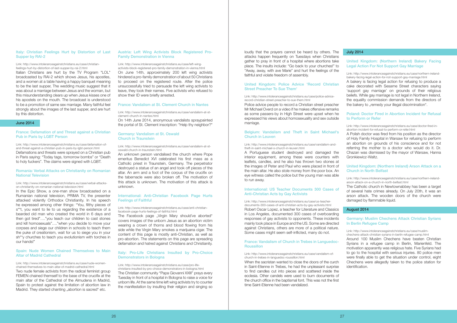loudly that the prayers cannot be heard by others. The attacks happen frequently on Tuesdays when Christians gather to pray in front of a hospital where abortions take place. The insults include: "Go back to your churches!" to "Away, away, with ave Marie" and hurt the feelings of the faithful and violate freedom of assembly.

Police advice people to record a Christian street preacher Mr Michael Overd on a video if he makes offensive remarks as some passers-by in High Street were upset when he expressed his views about homosexuality and sex outside marriage.

#### [United Kingdom: Police Advice 'Record Christian](http://www.intoleranceagainstchristians.eu/case/police-advice-record-christian-street-preacher-to-sue-them.html)  [Street Preacher To Sue Them'](http://www.intoleranceagainstchristians.eu/case/police-advice-record-christian-street-preacher-to-sue-them.html)

#### Link: http://www.intoleranceagainstchristians.eu/case/police-advicerecord-christian-street-preacher-to-sue-them.html

#### [Belgium: Vandalism and Theft in Saint Michael's](http://www.intoleranceagainstchristians.eu/case/vandalism-and-theft-in-saint-michael-s-church-in-leuven.html)  [Church in Leuven](http://www.intoleranceagainstchristians.eu/case/vandalism-and-theft-in-saint-michael-s-church-in-leuven.html)

#### Link: http://www.intoleranceagainstchristians.eu/case/vandalism-andtheft-in-saint-michael-s-church-in-leuven.html

#### [France: Vandalism of Church in Trebes in Languedoc-](http://www.intoleranceagainstchristians.eu/case/vandalism-of-church-in-trebes-in-languedoc-roussillon.html)**[Roussillon](http://www.intoleranceagainstchristians.eu/case/vandalism-of-church-in-trebes-in-languedoc-roussillon.html)**

A Portuguese student destroyed and damaged the interior equipment, among these were counters with leaflets, candles, and he also has thrown two stones at the images of Peter and Paul who were placed in front of the main altar. He also stole money from the poor box. An eye witness called the police but the young man was able to run away.

A bakery is facing legal action for refusing to produce a cake decorated with Sesame Street characters saying 'support gay marriage' on grounds of their religious beliefs. While gay marriage is not legal in Northern Ireland, the equality commission demands from the directors of the bakery to "remedy your illegal discrimination".

#### International: US [Teacher Documents 300 Cases of](http://www.intoleranceagainstchristians.eu/case/us-teacher-documents-300-cases-of-anti-christian-acts-by-gay-activists.html) [Anti-Christian Acts by Gay Activists](http://www.intoleranceagainstchristians.eu/case/us-teacher-documents-300-cases-of-anti-christian-acts-by-gay-activists.html)

Link: http://www.intoleranceagainstchristians.eu/case/us-teacherdocuments-300-cases-of-anti-christian-acts-by-gay-activists.html Robert Oscar Lopez, a teacher for Literature and Classics in Los Angeles, documented 300 cases of overboarding responses of gay activists to opponents. These incidents mainly took place in Europe and the US. Some are directed against Christians, others are more of a political nature. Some cases might seem self-inflicted, many do not.

#### Link: http://www.intoleranceagainstchristians.eu/case/vandalism-ofchurch-in-trebes-in-languedoc-roussillon.html

When the sacristan wanted to close the doors of the curch in Saint-Etienne in Trebes, he had the unpleasant surprise to find candles cut into pieces and scattered inside the ecclesia. Other candels were used to burn documents of the church office in the baptismal font. This was not the first time Saint-Etienne had been vandalized.

#### Italy: Christian Feelings Hurt by Distortion of Last [Supper by RAI-2](http://www.intoleranceagainstchristians.eu/case/christian-feelings-hurt-by-distortion-of-last-supper-by-rai-2.html)

#### July 2014

#### [United Kingdom: \(Northern Ireland\) Bakery Facing](http://www.intoleranceagainstchristians.eu/case/northern-ireland-bakery-facing-legal-action-for-not-support-gay-marriage.html)  [Legal Action For Not Support Gay Marriage](http://www.intoleranceagainstchristians.eu/case/northern-ireland-bakery-facing-legal-action-for-not-support-gay-marriage.html)

Link: http://www.intoleranceagainstchristians.eu/case/northern-irelandbakery-facing-legal-action-for-not-support-gay-marriage.html

#### [Poland: Doctor Fired in Abortion Incident for Refusal](http://www.intoleranceagainstchristians.eu/case/doctor-fired-in-abortion-incident-for-refusal-to-perform-or-refer.html)  [to Perform or Refer](http://www.intoleranceagainstchristians.eu/case/doctor-fired-in-abortion-incident-for-refusal-to-perform-or-refer.html)

Link: http://www.intoleranceagainstchristians.eu/case/doctor-fired-inabortion-incident-for-refusal-to-perform-or-refer.html

Link: http://www.intoleranceagainstchristians.eu/case/nude-womenchained-themselves-to-main-altar-of-madrid-cathedral.html Two nude female activists from the radical feminist group FEMEN chained themself to the base of the crucifix at the main altar of the Cathedral of the Almudena in Madrid, Spain to protest against the limitation of abortion law in Madrid. They started chanting "abortion is sacred" etc.

A Polish doctor was fired from his position as the director of Holy Family Hospital in Warsaw for refusing to perform an abortion on grounds of his conscience and for not referring the mother to a doctor who would do it. Dr. Chazan was dismissed by the mayor of Warsaw, Hanna Gronkiewicz-Waltz.

#### [United Kingdom: \(Northern Ireland\) Arson Attack on a](http://www.intoleranceagainstchristians.eu/case/northern-ireland-arson-attack-on-a-church-in-north-belfast.html)  [Church in North Belfast](http://www.intoleranceagainstchristians.eu/case/northern-ireland-arson-attack-on-a-church-in-north-belfast.html)

Link: http://www.intoleranceagainstchristians.eu/case/northern-irelandarson-attack-on-a-church-in-north-belfast.html

The Catholic church in Newtownabbey has been a target of several hate crimes already. On July 20th, it was an arson attack. The wooden doors of the church were damaged by flammable liquid.

#### August 2014

#### [Germany: Muslim Chechens Attack Christian Syrians](http://www.intoleranceagainstchristians.eu/case/muslim-chechens-attack-christian-syrians-in-berlin-refugee-camp.html)  [In Berlin Refugee Camp](http://www.intoleranceagainstchristians.eu/case/muslim-chechens-attack-christian-syrians-in-berlin-refugee-camp.html)

Link: http://www.intoleranceagainstchristians.eu/case/muslimchechens-attack-christian-syrians-in-berlin-refugee-camp.html

Around 100 Muslim Chechens have beaten Christian Syrians in a refugee camp in Berlin, Marienfeld. The motivation apparantly was religious hate. Five Syrians had to go to the hospital with serious injuries. 80 police men were finally able to get the situation under control, eight Chechens were allegedly taken to the police station for identification.

The Facebook page "Virgin Mary should've aborted" covers images of the unborn Jesus as an abortion victim wearing a crown of thorns and blood flowing from his side while the Virgin Mary smokes a marijuana cigar. The content of this page is mostly anti-Christian, as well as pro-abortion. The statements on this page are spreading defamation and hatred against Christians and Christianity.

#### Link: http://www.intoleranceagainstchristians.eu/case/christianfeelings-hurt-by-distortion-of-last-supper-by-rai-2.html

Italian Christians are hurt by the TV Program "LOL" broadcasted by RAI-2 which shows Jesus, his apostles, and a women at a table having a happy banquet meaning to be the last supper. The wedding music suggest that it was about a marriage between Jesus and the woman, but this misunderstanding clears up when Jesus kisses one of his apostels on the mouth. The broadcast is understood to be a promotion of same sex marriage. Many faithful feel strongly about the images of the last supper, and are hurt by this distortion.

#### June 2014

#### [France: Defamation of and Threat against a Christian](http://www.intoleranceagainstchristians.eu/case/defamation-of-and-threat-against-a-christian-pub-in-paris-by-lgbt-person.html)  [Pub in Paris by LGBT Person](http://www.intoleranceagainstchristians.eu/case/defamation-of-and-threat-against-a-christian-pub-in-paris-by-lgbt-person.html)

Link: http://www.intoleranceagainstchristians.eu/case/defamation-ofand-threat-against-a-christian-pub-in-paris-by-lgbt-person.html Defamations and threats were sprayed on a Christian pub in Paris saying: "Today tags, tomorrow bombs" or "Death to holy fuckers". The claims were signed with LGBT.

#### [Romania: Verbal Attacks on Christianity on Romanian](http://www.intoleranceagainstchristians.eu/case/verbal-attacks-on-christianity-on-romanian-national-television.html)  [National Television](http://www.intoleranceagainstchristians.eu/case/verbal-attacks-on-christianity-on-romanian-national-television.html)

#### Link: http://www.intoleranceagainstchristians.eu/case/verbal-attackson-christianity-on-romanian-national-television.html

In the Epic Show, a one-man show broadcasted on a Rumanian national television, PRIMA TV, the presenter attacked violently Orthodox Christianity. In his speech he expressed among other things: "You, filthy pieces of s<sup>\*\*t</sup>, you want to lie to us regarding the existence of a bearded old man who created the world in 6 days and then got tired"…."you teach our children to cast stones and kill homosexuals"…."when you decide to move your corpses and siege our children in schools to teach them the puke of creationism, wait for us to siege you in your sh\*\*y churches to teach you evolutionism with torches in our hands!"

#### [Spain: Nude Women Chained Themselves to Main](http://www.intoleranceagainstchristians.eu/case/nude-women-chained-themselves-to-main-altar-of-madrid-cathedral.html)  [Altar of Madrid Cathedral](http://www.intoleranceagainstchristians.eu/case/nude-women-chained-themselves-to-main-altar-of-madrid-cathedral.html)

#### [Austria: Left Wing Activists Block Registered Pro-](http://www.intoleranceagainstchristians.eu/case/left-wing-activists-block-registered-pro-family-demonstration-in-vienna.html)[Family Demonstration in Vienna](http://www.intoleranceagainstchristians.eu/case/left-wing-activists-block-registered-pro-family-demonstration-in-vienna.html)

Link: http://www.intoleranceagainstchristians.eu/case/left-wingactivists-block-registered-pro-family-demonstration-in-vienna.html On June 14th, approximately 200 left wing activists hindered a pro-family demonstration of about 50 Christians to proceed on the registered route. After the police unsuccessfully tried to persuade the left wing activists to leave, they took their names. Five activists who refused to

show their ID were briefly arrested.

#### [France: Vandalism at St. Clement Church in Nantes](http://www.intoleranceagainstchristians.eu/case/vandalism-at-st-clement-church-in-nantes.html)

Link: http://www.intoleranceagainstchristians.eu/case/vandalism-at-stclement-church-in-nantes.html

On 14th June 2014, anonymous vandalists spraypainted the portal of St. Clement inscription: "Help thy neighbor?"

#### [Germany: Vandalism at St. Oswald](http://www.intoleranceagainstchristians.eu/case/vandalism-at-st-oswald-church-in-traunstein.html)  [Church in Traunstein](http://www.intoleranceagainstchristians.eu/case/vandalism-at-st-oswald-church-in-traunstein.html)

#### Link: http://www.intoleranceagainstchristians.eu/case/vandalism-at-stoswald-church-in-traunstein.html

An unknown person vandalised the church where Pope emeritus Benedict XVI celebrated his first mass as a Catholic priest in Traunstein, Germany. The perpetrator destroyed a statue of an angel and took off pieces of the altar. An arm and a foot of the corpus of the crucifix on the tabernacle were also broken off. The motivation of this attack is unknown. The motivation of this attack is unknown.

#### [International: Anti-Christian Facebook Page Hurts](http://www.intoleranceagainstchristians.eu/case/anti-christian-facebook-page-hurts-feelings-of-faithful.html)  [Feelings of Faithful](http://www.intoleranceagainstchristians.eu/case/anti-christian-facebook-page-hurts-feelings-of-faithful.html)

#### Link: http://www.intoleranceagainstchristians.eu/case/anti-christianfacebook-page-hurts-feelings-of-faithful.html

#### [Italy: Pro-Life Christians Insulted by Pro-Choice](http://www.intoleranceagainstchristians.eu/case/pro-life-christians-insulted-by-pro-choice-demonstrators-in-bologna.html)  [Demonstrators in Bologna](http://www.intoleranceagainstchristians.eu/case/pro-life-christians-insulted-by-pro-choice-demonstrators-in-bologna.html)

Link: http://www.intoleranceagainstchristians.eu/case/pro-lifechristians-insulted-by-pro-choice-demonstrators-in-bologna.html The Christian community "Papa Giovanni XXIII" prays every Tuesday in front of a hospital in Bologna to raise a voice for unborn life. At the same time left wing activists try to counter the manifestation by insulting their religion and singing so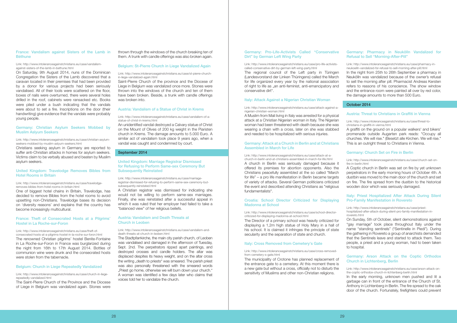#### [Germany: Pro-Life-Activists Called "Conservative](http://www.intoleranceagainstchristians.eu/case/pro-life-activists-called-conservative-dirt-by-german-left-wing-party.html) [Dirt" by German Left Wing Party](http://www.intoleranceagainstchristians.eu/case/pro-life-activists-called-conservative-dirt-by-german-left-wing-party.html)

#### Link: http://www.intoleranceagainstchristians.eu/case/pro-life-activistscalled-conservative-dirt-by-german-left-wing-party.html

The regional council of the Left party in Türingen (Landesvorstand der Linken Thüringens) called the March for life organized every year by the national association of right to life as ..an anti-feminist, anti-emancipatory and conservative dirt".

#### [Italy: Attack Against a Nigerian Christian Woman](http://www.intoleranceagainstchristians.eu/case/attack-against-a-nigerian-christian-woman.html)

#### Link: http://www.intoleranceagainstchristians.eu/case/attack-against-anigerian-christian-woman.html

A Muslim from Mali living in Italy was arrested for a physical attack at a Christian Nigerian woman in Italy. The Nigerian woman had been threatened with death because she was wearing a chain with a cross, later on she was stabbed and needed to be hospitalized with serious injuries.

#### [Germany: Attack at a Church in Berlin and at Christians](http://www.intoleranceagainstchristians.eu/case/attack-at-a-church-in-berlin-and-at-christians-assembled-in-march-for-life.html) [Assembled in March for Life](http://www.intoleranceagainstchristians.eu/case/attack-at-a-church-in-berlin-and-at-christians-assembled-in-march-for-life.html)

#### Link: http://www.intoleranceagainstchristians.eu/case/attack-at-achurch-in-berlin-and-at-christians-assembled-in-march-for-life.html A church in Berlin was seriously damaged because it offered its premises for abortion opponents. Also the Christians peacefully assembled at the so called "March for life" – a pro life manifestation in Berlin became targets of variety of attacks. Several German politicians criticized the event and described attending Christians as "religious fundamentalists".

#### [Croatia: School Director Criticized for Displaying](http://www.intoleranceagainstchristians.eu/case/school-director-criticized-for-displaying-madonna-at-school.html)  [Madonna at School](http://www.intoleranceagainstchristians.eu/case/school-director-criticized-for-displaying-madonna-at-school.html)

#### Link: http://www.intoleranceagainstchristians.eu/case/school-directorcriticized-for-displaying-madonna-at-school.html

The Director of a primary school was heavily criticized for displaying a 1,2m high statue of Holy Mary in a hall of his school. It is claimed it infringes the principle of state secularity and the separation of state and church.

#### [Italy: Cross Removed from Cemetery's Gate](http://www.intoleranceagainstchristians.eu/case/cross-removed-from-cemetery-s-gate.html)

#### Link: http://www.intoleranceagainstchristians.eu/case/cross-removedfrom-cemetery-s-gate.html

The municipality of Crotone has planned replacement of the entrance gate to a cemetery. At this moment there is a new gate but without a cross, officially not to disturb the sensitivity of Muslims and other non-Christian religions.

#### [Germany: Pharmacy in Neukölln Vandalized for](http://www.intoleranceagainstchristians.eu/case/pharmacy-in-neukoelln-vandalized-for-refusal-to-sell-morning-after-pill.html)  [Refusal to Sell "Morning-After-Pill"](http://www.intoleranceagainstchristians.eu/case/pharmacy-in-neukoelln-vandalized-for-refusal-to-sell-morning-after-pill.html)

Link: http://www.intoleranceagainstchristians.eu/case/pharmacy-inneukoelln-vandalized-for-refusal-to-sell-morning-after-pill.html

In the night from 25th to 26th September a pharmacy in Neukölln was vandalized because of the owner's refusal to sell the morning after pill. Pharmacist Andreas Kersten refers to reasons of his conscience. The show window and the entrance room were painted all over by red color, the damage amounts to more than 500 Euro.

#### October 2014

#### [Austria: Threat to Christians in Graffiti in Vienna](http://www.intoleranceagainstchristians.eu/case/threat-to-christians-in-graffiti-in-vienna.html)

Link: http://www.intoleranceagainstchristians.eu/case/threat-tochristians-in-graffiti-in-vienna.html

A graffiti on the ground on a popular walkers' and bikers' promenade outside Augarten park reads: "Occupy all churches. We will rise." (Besetzt alle Kirchen. We will rise." This is an outright threat to Christians in Vienna.

#### [Germany: Church Set on Fire in Berlin](http://www.intoleranceagainstchristians.eu/case/church-set-on-fire-in-berlin.html)

Link: http://www.intoleranceagainstchristians.eu/case/church-set-onfire-in-berlin.html

A Coptic church in Berlin was set on fire by yet unknown perpetrators in the early morning hours of October 4th. A dustbin was moved to the main door of the church and set on fire. The fire spread from the dustbin to the historical wooden door which was seriously damaged.

#### [Italy: Priest Hospitalized After Attack During Silent](http://www.intoleranceagainstchristians.eu/case/priest-hospitalized-after-attack-during-silent-pro-family-manifestation-in-rovereto.html)  [Pro-Family Manifestation in Rovereto](http://www.intoleranceagainstchristians.eu/case/priest-hospitalized-after-attack-during-silent-pro-family-manifestation-in-rovereto.html)

Link: http://www.intoleranceagainstchristians.eu/case/priesthospitalized-after-attack-during-silent-pro-family-manifestation-inrovereto.html

On Sunday, 5th of October, silent demonstrations against "gay marriage" took place throughout Italy under the name "standing sentinels" ("Sentinelle in Piedi"). During the gathering in Rovereto a group of anarchists demanded that the Sentinels leave and started to attack them. Two people, a priest and a young woman, had to been taken to hospital.

#### [Germany: Arson Attack on the Coptic Orthodox](http://www.intoleranceagainstchristians.eu/case/arson-attack-on-the-coptic-orthodox-church-in-lichtenberg-berlin.html)  [Church in Lichtenberg, Berlin](http://www.intoleranceagainstchristians.eu/case/arson-attack-on-the-coptic-orthodox-church-in-lichtenberg-berlin.html)

Link: http://www.intoleranceagainstchristians.eu/case/arson-attack-onthe-coptic-orthodox-church-in-lichtenberg-berlin.html

In the early morning, unknown men pushed and lit a garbage can in front of the entrance of the Church of St. Anthony in Lichtenberg in Berlin. The fire spread to the oak door of the church. Fortunately, firefighters could prevent

#### [France: Vandalism against Sisters of the Lamb in](http://www.intoleranceagainstchristians.eu/case/vandalism-against-sisters-of-the-lamb-in-bethune.html)  [Béthune](http://www.intoleranceagainstchristians.eu/case/vandalism-against-sisters-of-the-lamb-in-bethune.html)

#### Link: http://www.intoleranceagainstchristians.eu/case/vandalismagainst-sisters-of-the-lamb-in-bethune.html

On Saturday, 9th August 2014, nuns of the Dominican Congregation the Sisters of the Lamb discovered that a caravan located in their premises that had been provided by a donor for various projects had been seriously vandalised. All of their tools were scattered on the floor, boxes of nails were overturned, there were several holes drilled in the roof, cabinets were ransacked etc. Books were piled under a bush indicating that the vandals were about to set a fire. Inscriptions on the door (their handwriting) give evidence that the vandals were probably young people.

#### [Germany: Christian Asylum Seekers Mobbed by](http://www.intoleranceagainstchristians.eu/case/christian-asylum-seekers-mobbed-by-muslim-aslyum-seekers.html)  [Muslim Aslyum Seekers](http://www.intoleranceagainstchristians.eu/case/christian-asylum-seekers-mobbed-by-muslim-aslyum-seekers.html)

#### Link: http://www.intoleranceagainstchristians.eu/case/christian-asylumseekers-mobbed-by-muslim-aslyum-seekers.html

Christians seeking asylum in Germany are reported to suffer anti-Christian attacks in homes for asylum seekers. Victims claim to be verbally abused and beaten by Muslim asylum seekers.

#### [United Kingdom: Travelodge Removes Bibles from](http://www.intoleranceagainstchristians.eu/case/travelodge-removes-bibles-from-hotel-rooms-in-britain.html)  [Hotel Rooms in Britain](http://www.intoleranceagainstchristians.eu/case/travelodge-removes-bibles-from-hotel-rooms-in-britain.html)

#### Link: http://www.intoleranceagainstchristians.eu/case/travelodgeremoves-bibles-from-hotel-rooms-in-britain.html

One of biggest hotel chains in Britain, Travelodge, has decided to remove Bibles from the hotel rooms to avoid upsetting non-Christians. Travelodge bases its decision on 'diversity reasons' and explains that the country has become increasingly multicultural.

#### [France: Theft of Consecrated Hosts at a Pilgrims'](http://www.intoleranceagainstchristians.eu/case/theft-of-consecrated-hosts-at-a-pilgrims-hostel-in-la-roche-sur-foron.html)  [Hostel in La Roche-sur-Foron](http://www.intoleranceagainstchristians.eu/case/theft-of-consecrated-hosts-at-a-pilgrims-hostel-in-la-roche-sur-foron.html)

Link: http://www.intoleranceagainstchristians.eu/case/theft-ofconsecrated-hosts-at-a-pilgrims-hostel-in-la-roche-sur-foron.html The renowned Christian pilgrims' hostel Benite-Fontaine in La Roche-sur-Foron in France was burglarized during the night from 16th to 17th August 2014. Bottles of communion wine were drunk and the consecrated hosts were stolen from the tabernacle.

#### [Belgium: Church in Liege Repeatedly Vandalized](http://www.intoleranceagainstchristians.eu/case/church-in-liege-repeatedly-vandalized.html)

#### Link: http://www.intoleranceagainstchristians.eu/case/church-in-liegerepeatedly-vandalized.html

The Saint-Pierre Church of the Province and the Diocese of Liege in Belgium was vandalized again. Stones were thrown through the windows of the church breaking ten of them. A trunk with candle offerings was also broken again.

#### [Belgium: St-Pierre Church in Liege Vandalized Again](http://www.intoleranceagainstchristians.eu/case/st-pierre-church-in-liege-vandalized-again.html)

#### Link: http://www.intoleranceagainstchristians.eu/case/st-pierre-churchin-liege-vandalized-again.html

Saint-Pierre Church of the province and the Diocese of Liege in Belgium was vandalized once more. Stones were thrown into the windows of the church and ten of them have been broken. Beside, a trunk with candle offerings was broken into.

#### [Austria: Vandalism of a Statue of Christ in Krems](http://www.intoleranceagainstchristians.eu/case/vandalism-of-a-statue-of-christ-in-krems.html)

#### Link: http://www.intoleranceagainstchristians.eu/case/vandalism-of-astatue-of-christ-in-krems.html

An unidentified vandal destroyed a Calvary statue of Christ on the Mount of Olives of 200 kg weight in the Piaristen church in Krems. The damage amounts to 5.000 Euro. A similar act of vandalism took place 9 years ago, when a vandal was caught and condemned by court.

#### September 2014

#### [United Kingdom: Marriage Registrar Dismissed](http://www.intoleranceagainstchristians.eu/case/marriage-registrar-dismissed-for-refusing-to-perform-same-sex-ceremony-but-subsequently-reinstated.html%0D)  [for Refusing to Perform Same-sex Ceremony But](http://www.intoleranceagainstchristians.eu/case/marriage-registrar-dismissed-for-refusing-to-perform-same-sex-ceremony-but-subsequently-reinstated.html%0D)  [Subsequently Reinstated](http://www.intoleranceagainstchristians.eu/case/marriage-registrar-dismissed-for-refusing-to-perform-same-sex-ceremony-but-subsequently-reinstated.html%0D)

Link: http://www.intoleranceagainstchristians.eu/case/marriageregistrar-dismissed-for-refusing-to-perform-same-sex-ceremony-butsubsequently-reinstated.html

A Christian registrar was dismissed for indicating she would not be willing to perform same-sex marriages. Finally, she was reinstated after a successful appeal in which it was ruled that her employer had failed to take a "balanced view" of her religious beliefs.

#### [Austria: Vandalism and Death Threats at](http://www.intoleranceagainstchristians.eu/case/vandalism-and-death-threats-at-church-in-leoben.html)  [Church in Leoben](http://www.intoleranceagainstchristians.eu/case/vandalism-and-death-threats-at-church-in-leoben.html)

#### Link: http://www.intoleranceagainstchristians.eu/case/vandalism-anddeath-threats-at-church-in-leoben.html

The Stadtpfarrkirche, the main city parish church, of Leoben was vandalised and damaged in the afternoon of Tuesday, Sept. 2nd. The perpetrators ripped apart paintings, and destroyed crosses and candle holders. The altar was displaced despites its heavy weight, and on the altar cross the writing "death to priests" was smeared. The parish priest was also personally threatened with the smeared words "Priest go home, otherwise we will burn down your church." A woman was identified a few days later who claims that voices told her to vandalize the church.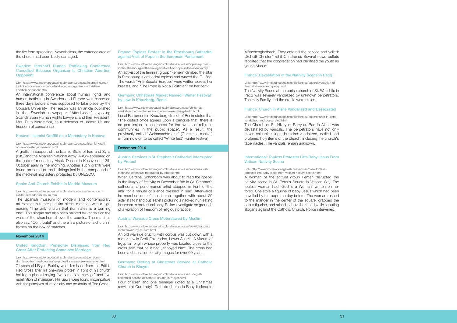#### [Sweden: Internat'l Human Trafficking Conference](http://www.intoleranceagainstchristians.eu/case/internatl-human-trafficking-conference-cancelled-because-organizer-is-christian-abortion-opponent.html)  [Cancelled Because Organizer Is Christian Abortion](http://www.intoleranceagainstchristians.eu/case/internatl-human-trafficking-conference-cancelled-because-organizer-is-christian-abortion-opponent.html)  **[Opponent](http://www.intoleranceagainstchristians.eu/case/internatl-human-trafficking-conference-cancelled-because-organizer-is-christian-abortion-opponent.html)**

the fire from spreading. Nevertheless, the entrance area of the church had been badly damaged.

Link: http://www.intoleranceagainstchristians.eu/case/internatl-humantrafficking-conference-cancelled-because-organizer-is-christianabortion-opponent.html

An international conference about human rights and human trafficking in Sweden and Europe was cancelled three days before it was supposed to take place by the Uppsala University. The reason was an article published in the Swedish newspaper "Aftonbladet" exposing Scandinavian Human Rights Lawyers, and their President, Mrs. Ruth Nordström, as a defender of unborn life and freedom of conscience.

#### [Kosovo: Islamist Graffiti on a Monastery in Kosovo](http://www.intoleranceagainstchristians.eu/case/islamist-graffiti-on-a-monastery-in-kosovo.html)

Link: http://www.intoleranceagainstchristians.eu/case/islamist-graffition-a-monastery-in-kosovo.html

A graffiti in support of the Islamic State of Iraq and Syria (ISIS) and the Albanian National Army (AKSh) appeared on the gate of monastery Visoki Decani in Kosovo on 13th October early in the morning. Another such graffiti were found on some of the buildings inside the compound of the medieval monastery protected by UNESCO.

#### [Spain: Anti-Church Exhibit in Madrid Museum](http://www.intoleranceagainstchristians.eu/case/anti-church-exhibit-in-madrid-museum.html)

#### Link: http://www.intoleranceagainstchristians.eu/case/anti-churchexhibit-in-madrid-museum.html

The Spanish museum of modern and contemporary art exhibits a rather peculiar piece: matches with a sign reading "The only church that illuminates is a burning one". This slogan had also been painted by vandals on the walls of the churches all over the country. The matches also say: "Contribute!" and there is a picture of a church in flames on the box of matches.

#### November 2014

#### [United Kingdom: Pensioner Dismissed from Red](http://www.intoleranceagainstchristians.eu/case/pensioner-dismissed-from-red-cross-after-protesting-same-sex-marriage.html)  [Cross After Protesting Same-sex Marriage](http://www.intoleranceagainstchristians.eu/case/pensioner-dismissed-from-red-cross-after-protesting-same-sex-marriage.html)

Link: http://www.intoleranceagainstchristians.eu/case/pensionerdismissed-from-red-cross-after-protesting-same-sex-marriage.html 71-years-old Bryan Barkley was dismissed from the British Red Cross after his one-man protest in front of his church holding a placard saying "No same sex marriage" and "No redefinition of marriage". His views were found incompatible with the principles of impartiality and neutrality of Red Cross.

#### [France: Topless Protest in the Strasbourg Cathedral](http://www.intoleranceagainstchristians.eu/case/topless-protest-in-the-strasbourg-cathedral-against-visit-of-pope-in-the-ebservatory)  [against Visit of Pope in the European Parliament](http://www.intoleranceagainstchristians.eu/case/topless-protest-in-the-strasbourg-cathedral-against-visit-of-pope-in-the-ebservatory)

Link: http://www.intoleranceagainstchristians.eu/case/topless-protestin-the-strasbourg-cathedral-against-visit-of-pope-in-the-ebservatory An activist of the feminist group "Femen" climbed the altar in Strasbourg's cathedral topless and waved the EU flag. The words "Anti-Secular Europe," were written across her breasts, and "The Pope is Not a Politician" on her back.

#### [Germany: Christmas Market Named "Winter Festival"](http://www.intoleranceagainstchristians.eu/case/christmas-market-named-winter-festival-by-law-in-kreuzberg-berlin.html)  [by Law in Kreuzberg, Berlin](http://www.intoleranceagainstchristians.eu/case/christmas-market-named-winter-festival-by-law-in-kreuzberg-berlin.html)

Link: http://www.intoleranceagainstchristians.eu/case/christmasmarket-named-winter-festival-by-law-in-kreuzberg-berlin.html Local Parliament in Kreuzberg district of Berlin states that "The district office agrees upon a principle that, there is no permission to be granted for the events of religious communities in the public space". As a result, the previously called "Weihnnachtmarkt" (Christmas market) is from now on to be called "Winterfest" (winter festival).

#### December 2014

#### [Austria: Services in St. Stephan's Cathedral Interrupted](http://www.intoleranceagainstchristians.eu/case/services-in-st-stephans-cathedral-interrupted-by-protest.html)  [by Protest](http://www.intoleranceagainstchristians.eu/case/services-in-st-stephans-cathedral-interrupted-by-protest.html)

#### Link: http://www.intoleranceagainstchristians.eu/case/services-in-ststephans-cathedral-interrupted-by-protest.html

When Cardinal Schönborn was about to read the gospel in the liturgy of festivity of December 8th in St. Stephan's cathedral, a performance artist stepped in front of the altar for a minute of silence dressed in read. Afterwards he marched out of the church together with about 20 activists to hand out leaflets picturing a nacked nun eating icecream to protest celibacy. Police investigate on grounds of a violation of freedom of religious practice.

#### [Austria: Wayside Cross Motersawed by Muslim](http://www.intoleranceagainstchristians.eu/case/wayside-cross-motersawed-by-muslim.html)

Link: http://www.intoleranceagainstchristians.eu/case/wayside-crossmotersawed-by-muslim.html

An old wayside crucifix with corpus was cut down with a motor saw in Groß-Enzersdorf, Lower Austria. A Muslim of Egyptian origin whose property was located close to the cross said that he it had "annoyed him". The cross had been a destination for pilgrimages for over 60 years.

#### [Germany: Rioting at Christmas Service at Catholic](http://www.intoleranceagainstchristians.eu/case/rioting-at-christmas-service-at-catholic-church-in-rheydt.html)  [Church in Rheydt](http://www.intoleranceagainstchristians.eu/case/rioting-at-christmas-service-at-catholic-church-in-rheydt.html)

Link: http://www.intoleranceagainstchristians.eu/case/rioting-atchristmas-service-at-catholic-church-in-rheydt.html Four children and one teenager rioted at a Christmas service at Our Lady's Catholic church in Rheydt close to Mönchengladbach. They entered the service and yelled: "Scheiß-Christen" (shit Christians). Several news outlets reported that the congregation had identified the youth as young Muslim.

#### [France: Devastation of the Nativity Scene in Pecq](http://www.intoleranceagainstchristians.eu/case/devastation-of-the-nativity-scene-in-pecq.html)

Link: http://www.intoleranceagainstchristians.eu/case/devastation-ofthe-nativity-scene-in-pecq.html

The Nativity Scene at the parish church of St. Wandrille in Pecq was severely vandalized by unknown perpetrators. The Holy Family and the cradle were stolen.

#### [France: Church in Aisne Vandalized and Desecrated](http://www.intoleranceagainstchristians.eu/case/church-in-aisne-vandalized-and-desecrated.html)

#### Link: http://www.intoleranceagainstchristians.eu/case/church-in-aisnevandalized-and-desecrated.html

The Church of St. Hilary of Berry-au-Bac in Aisne was devastated by vandals. The perpetrators have not only stolen valuable things, but also vandalized, defiled and profaned holy items of the church, including the church's tabernacles. The vandals remain unknown.

#### [International: Topless Protester Lifts Baby Jesus From](http://www.intoleranceagainstchristians.eu/case/topless-protester-lifts-baby-jesus-from-vatican-nativity-scene.html)  [Vatican Nativity Scene](http://www.intoleranceagainstchristians.eu/case/topless-protester-lifts-baby-jesus-from-vatican-nativity-scene.html)

#### Link: http://www.intoleranceagainstchristians.eu/case/toplessprotester-lifts-baby-jesus-from-vatican-nativity-scene.html

A woman of the activist group Femen disrupted the nativity scene in St. Peter's Square in Vatican City. The topless woman had 'God is a Woman' written on her torso. She stole a figurine of baby Jesus which had been unveiled by the pope the day before. The woman rushed to the manger in the center of the square, grabbed the Jesus figurine, and raised it above her head while shouting slogans against the Catholic Church. Police intervened.